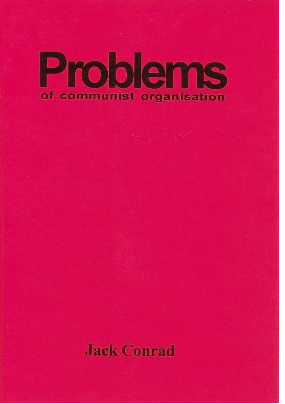# Problems of communist organisation

# **Jack Conrad**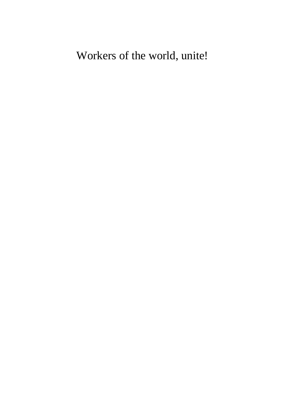## Workers of the world, unite!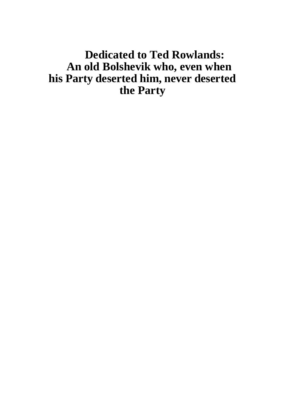### **Dedicated to Ted Rowlands: An old Bolshevik who, even when his Party deserted him, never deserted the Party**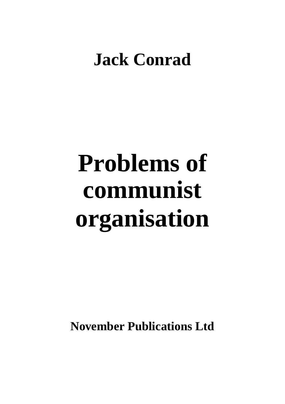# **Jack Conrad**

# **Problems of communist organisation**

**November Publications Ltd**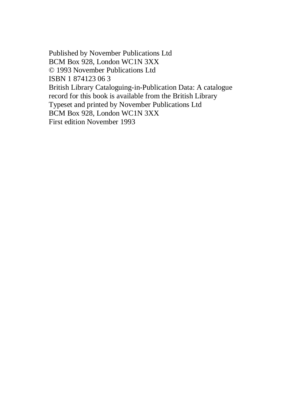Published by November Publications Ltd BCM Box 928, London WC1N 3XX © 1993 November Publications Ltd ISBN 1 874123 06 3 British Library Cataloguing-in-Publication Data: A catalogue record for this book is available from the British Library Typeset and printed by November Publications Ltd BCM Box 928, London WC1N 3XX First edition November 1993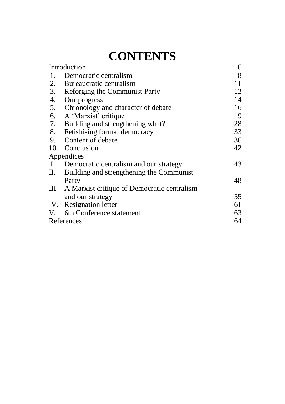## **CONTENTS**

| Introduction |                                                  | 6  |
|--------------|--------------------------------------------------|----|
| 1.           | Democratic centralism                            | 8  |
| 2.           | Bureaucratic centralism                          | 11 |
| 3.           | Reforging the Communist Party                    | 12 |
| 4.           | Our progress                                     | 14 |
| 5.           | Chronology and character of debate               | 16 |
| 6.           | A 'Marxist' critique                             | 19 |
| 7.           | Building and strengthening what?                 | 28 |
| 8.           | Fetishising formal democracy                     | 33 |
| 9.           | Content of debate                                | 36 |
| 10.          | Conclusion                                       | 42 |
|              | Appendices                                       |    |
| Ι.           | Democratic centralism and our strategy           | 43 |
| П.           | Building and strengthening the Communist         |    |
|              | Party                                            | 48 |
|              | III. A Marxist critique of Democratic centralism |    |
|              | and our strategy                                 | 55 |
|              | IV. Resignation letter                           | 61 |
|              | V. 6th Conference statement                      | 63 |
| References   |                                                  | 64 |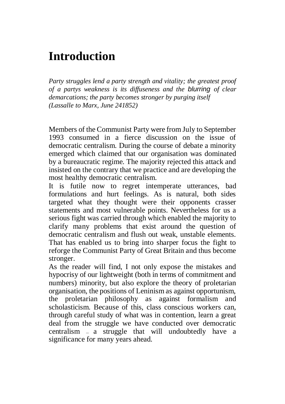## **Introduction**

*Party struggles lend a party strength and vitality; the greatest proof of a partys weakness is its diffuseness and the blurring of clear demarcations; the party becomes stronger by purging itself (Lassalle to Marx, June 241852)*

Members of the Communist Party were from July to September 1993 consumed in a fierce discussion on the issue of democratic centralism. During the course of debate a minority emerged which claimed that our organisation was dominated by a bureaucratic regime. The majority rejected this attack and insisted on the contrary that we practice and are developing the most healthy democratic centralism.

It is futile now to regret intemperate utterances, bad formulations and hurt feelings. As is natural, both sides targeted what they thought were their opponents crasser statements and most vulnerable points. Nevertheless for us a serious fight was carried through which enabled the majority to clarify many problems that exist around the question of democratic centralism and flush out weak, unstable elements. That has enabled us to bring into sharper focus the fight to reforge the Communist Party of Great Britain and thus become stronger.

As the reader will find, I not only expose the mistakes and hypocrisy of our lightweight (both in terms of commitment and numbers) minority, but also explore the theory of proletarian organisation, the positions of Leninism as against opportunism, the proletarian philosophy as against formalism and scholasticism. Because of this, class conscious workers can, through careful study of what was in contention, learn a great deal from the struggle we have conducted over democratic centralism — a struggle that will undoubtedly have a significance for many years ahead.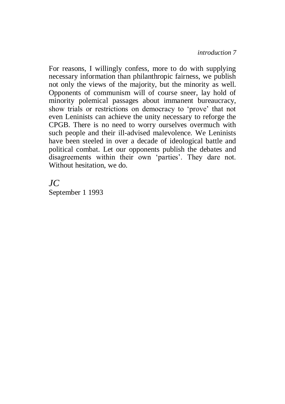For reasons, I willingly confess, more to do with supplying necessary information than philanthropic fairness, we publish not only the views of the majority, but the minority as well. Opponents of communism will of course sneer, lay hold of minority polemical passages about immanent bureaucracy, show trials or restrictions on democracy to 'prove' that not even Leninists can achieve the unity necessary to reforge the CPGB. There is no need to worry ourselves overmuch with such people and their ill-advised malevolence. We Leninists have been steeled in over a decade of ideological battle and political combat. Let our opponents publish the debates and disagreements within their own 'parties'. They dare not. Without hesitation, we do.

#### *JC*

September 1 1993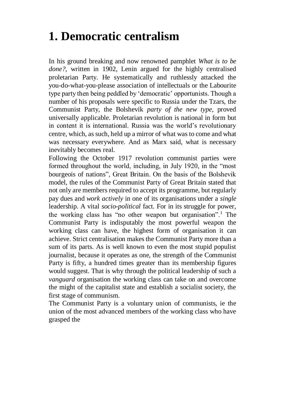## **1. Democratic centralism**

In his ground breaking and now renowned pamphlet *What is to be done?,* written in 1902, Lenin argued for the highly centralised proletarian Party. He systematically and ruthlessly attacked the you-do-what-you-please association of intellectuals or the Labourite type party then being peddled by 'democratic' opportunists. Though a number of his proposals were specific to Russia under the Tzars, the Communist Party, the Bolshevik *party of the new type,* proved universally applicable. Proletarian revolution is national in form but in content it is international. Russia was the world's revolutionary centre, which, as such, held up a mirror of what was to come and what was necessary everywhere. And as Marx said, what is necessary inevitably becomes real.

Following the October 1917 revolution communist parties were formed throughout the world, including, in July 1920, in the "most bourgeois of nations", Great Britain. On the basis of the Bolshevik model, the rules of the Communist Party of Great Britain stated that not only are members required to accept its programme, but regularly pay dues and *work actively* in one of its organisations under a *single*  leadership. A vital *socio-political* fact. For in its struggle for power, the working class has "no other weapon but organisation".<sup>1</sup> The Communist Party is indisputably the most powerful weapon the working class can have, the highest form of organisation it can achieve. Strict centralisation makes the Communist Party more than a sum of its parts. As is well known to even the most stupid populist journalist, because it operates as one, the strength of the Communist Party is fifty, a hundred times greater than its membership figures would suggest. That is why through the political leadership of such a *vanguard* organisation the working class can take on and overcome the might of the capitalist state and establish a socialist society, the first stage of communism.

The Communist Party is a voluntary union of communists, ie the union of the most advanced members of the working class who have grasped the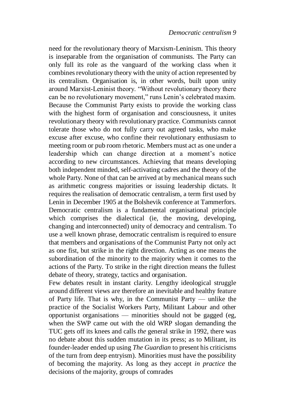need for the revolutionary theory of Marxism-Leninism. This theory is inseparable from the organisation of communists. The Party can only full its role as the vanguard of the working class when it combines revolutionary theory with the unity of action represented by its centralism. Organisation is, in other words, built upon unity around Marxist-Leninist theory. "Without revolutionary theory there can be no revolutionary movement," runs Lenin's celebrated maxim. Because the Communist Party exists to provide the working class with the highest form of organisation and consciousness, it unites revolutionary theory with revolutionary practice. Communists cannot tolerate those who do not fully carry out agreed tasks, who make excuse after excuse, who confine their revolutionary enthusiasm to meeting room or pub room rhetoric. Members must act as one under a leadership which can change direction at a moment's notice according to new circumstances. Achieving that means developing both independent minded, self-activating cadres and the theory of the whole Party. None of that can be arrived at by mechanical means such as arithmetic congress majorities or issuing leadership dictats. It requires the realisation of democratic centralism, a term first used by Lenin in December 1905 at the Bolshevik conference at Tammerfors. Democratic centralism is a fundamental organisational principle which comprises the dialectical (ie, the moving, developing, changing and interconnected) unity of democracy and centralism. To use a well known phrase, democratic centralism is required to ensure that members and organisations of the Communist Party not only act as one fist, but strike in the right direction. Acting as one means the subordination of the minority to the majority when it comes to the actions of the Party. To strike in the right direction means the fullest debate of theory, strategy, tactics and organisation.

Few debates result in instant clarity. Lengthy ideological struggle around different views are therefore an inevitable and healthy feature of Party life. That is why, in the Communist Party — unlike the practice of the Socialist Workers Party, Militant Labour and other opportunist organisations — minorities should not be gagged (eg, when the SWP came out with the old WRP slogan demanding the TUC gets off its knees and calls *the* general strike in 1992, there was no debate about this sudden mutation in its press; as to Militant, its founder-leader ended up using *The Guardian* to present his criticisms of the turn from deep entryism). Minorities must have the possibility of becoming the majority. As long as they accept *in practice* the decisions of the majority, groups of comrades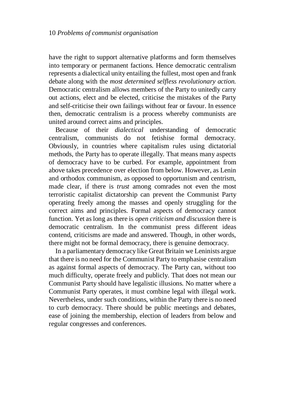have the right to support alternative platforms and form themselves into temporary or permanent factions. Hence democratic centralism represents a dialectical unity entailing the fullest, most open and frank debate along with the *most determined selfless revolutionary action.*  Democratic centralism allows members of the Party to unitedly carry out actions, elect and be elected, criticise the mistakes of the Party and self-criticise their own failings without fear or favour. In essence then, democratic centralism is a process whereby communists are united around correct aims and principles.

Because of their *dialectical* understanding of democratic centralism, communists do not fetishise formal democracy. Obviously, in countries where capitalism rules using dictatorial methods, the Party has to operate illegally. That means many aspects of democracy have to be curbed. For example, appointment from above takes precedence over election from below. However, as Lenin and orthodox communism, as opposed to opportunism and centrism, made clear, if there is *trust* among comrades not even the most terroristic capitalist dictatorship can prevent the Communist Party operating freely among the masses and openly struggling for the correct aims and principles. Formal aspects of democracy cannot function. Yet as long as there is *open criticism and discussion* there is democratic centralism. In the communist press different ideas contend, criticisms are made and answered. Though, in other words, there might not be formal democracy, there is genuine democracy.

In a parliamentary democracy like Great Britain we Leninists argue that there is no need for the Communist Party to emphasise centralism as against formal aspects of democracy. The Party can, without too much difficulty, operate freely and publicly. That does not mean our Communist Party should have legalistic illusions. No matter where a Communist Party operates, it must combine legal with illegal work. Nevertheless, under such conditions, within the Party there is no need to curb democracy. There should be public meetings and debates, ease of joining the membership, election of leaders from below and regular congresses and conferences.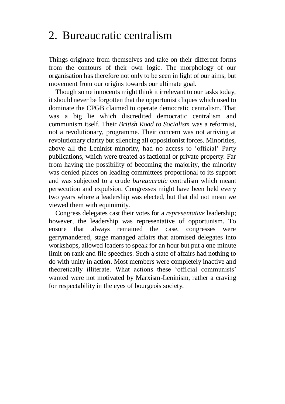#### 2. Bureaucratic centralism

Things originate from themselves and take on their different forms from the contours of their own logic. The morphology of our organisation has therefore not only to be seen in light of our aims, but movement from our origins towards our ultimate goal.

Though some innocents might think it irrelevant to our tasks today, it should never be forgotten that the opportunist cliques which used to dominate the CPGB claimed to operate democratic centralism. That was a big lie which discredited democratic centralism and communism itself. Their *British Road to Socialism* was a reformist, not a revolutionary, programme. Their concern was not arriving at revolutionary clarity but silencing all oppositionist forces. Minorities, above all the Leninist minority, had no access to 'official' Party publications, which were treated as factional or private property. Far from having the possibility of becoming the majority, the minority was denied places on leading committees proportional to its support and was subjected to a crude *bureaucratic* centralism which meant persecution and expulsion. Congresses might have been held every two years where a leadership was elected, but that did not mean we viewed them with equinimity.

Congress delegates cast their votes for a *representative* leadership; however, the leadership was representative of opportunism. To ensure that always remained the case, congresses were gerrymandered, stage managed affairs that atomised delegates into workshops, allowed leaders to speak for an hour but put a one minute limit on rank and file speeches. Such a state of affairs had nothing to do with unity in action. Most members were completely inactive and theoretically illiterate. What actions these 'official communists' wanted were not motivated by Marxism-Leninism, rather a craving for respectability in the eyes of bourgeois society.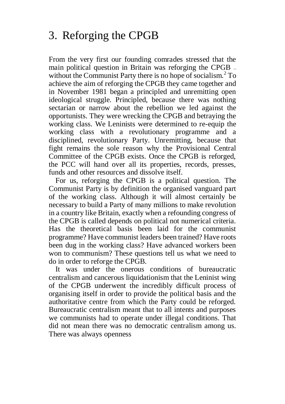## 3. Reforging the CPGB

From the very first our founding comrades stressed that the main political question in Britain was reforging the CPGB – without the Communist Party there is no hope of socialism.<sup>2</sup> To achieve the aim of reforging the CPGB they came together and in November 1981 began a principled and unremitting open ideological struggle. Principled, because there was nothing sectarian or narrow about the rebellion we led against the opportunists. They were wrecking the CPGB and betraying the working class. We Leninists were determined to re-equip the working class with a revolutionary programme and a disciplined, revolutionary Party. Unremitting, because that fight remains the sole reason why the Provisional Central Committee of the CPGB exists. Once the CPGB is reforged, the PCC will hand over all its properties, records, presses, funds and other resources and dissolve itself.

For us, reforging the CPGB is a political question. The Communist Party is by definition the organised vanguard part of the working class. Although it will almost certainly be necessary to build a Party of many millions to make revolution in a country like Britain, exactly when a refounding congress of the CPGB is called depends on political not numerical criteria. Has the theoretical basis been laid for the communist programme? Have communist leaders been trained? Have roots been dug in the working class? Have advanced workers been won to communism? These questions tell us what we need to do in order to reforge the CPGB.

It was under the onerous conditions of bureaucratic centralism and cancerous liquidationism that the Leninist wing of the CPGB underwent the incredibly difficult process of organising itself in order to provide the political basis and the authoritative centre from which the Party could be reforged. Bureaucratic centralism meant that to all intents and purposes we communists had to operate under illegal conditions. That did not mean there was no democratic centralism among us. There was always openness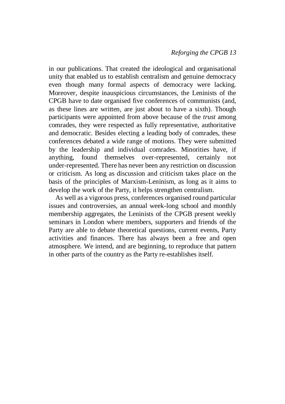in our publications. That created the ideological and organisational unity that enabled us to establish centralism and genuine democracy even though many formal aspects of democracy were lacking. Moreover, despite inauspicious circumstances, the Leninists of the CPGB have to date organised five conferences of communists (and, as these lines are written, are just about to have a sixth). Though participants were appointed from above because of the *trust* among comrades, they were respected as fully representative, authoritative and democratic. Besides electing a leading body of comrades, these conferences debated a wide range of motions. They were submitted by the leadership and individual comrades. Minorities have, if anything, found themselves over-represented, certainly not under-represented. There has never been any restriction on discussion or criticism. As long as discussion and criticism takes place on the basis of the principles of Marxism-Leninism, as long as it aims to develop the work of the Party, it helps strengthen centralism.

As well as a vigorous press, conferences organised round particular issues and controversies, an annual week-long school and monthly membership aggregates, the Leninists of the CPGB present weekly seminars in London where members, supporters and friends of the Party are able to debate theoretical questions, current events, Party activities and finances. There has always been a free and open atmosphere. We intend, and are beginning, to reproduce that pattern in other parts of the country as the Party re-establishes itself.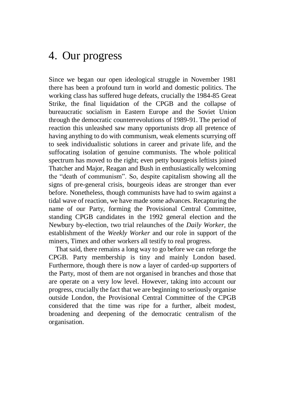#### 4. Our progress

Since we began our open ideological struggle in November 1981 there has been a profound turn in world and domestic politics. The working class has suffered huge defeats, crucially the 1984-85 Great Strike, the final liquidation of the CPGB and the collapse of bureaucratic socialism in Eastern Europe and the Soviet Union through the democratic counterrevolutions of 1989-91. The period of reaction this unleashed saw many opportunists drop all pretence of having anything to do with communism, weak elements scurrying off to seek individualistic solutions in career and private life, and the suffocating isolation of genuine communists. The whole political spectrum has moved to the right; even petty bourgeois leftists joined Thatcher and Major, Reagan and Bush in enthusiastically welcoming the "death of communism". So, despite capitalism showing all the signs of pre-general crisis, bourgeois ideas are stronger than ever before. Nonetheless, though communists have had to swim against a tidal wave of reaction, we have made some advances. Recapturing the name of our Party, forming the Provisional Central Committee, standing CPGB candidates in the 1992 general election and the Newbury by-election, two trial relaunches of the *Daily Worker,* the establishment of the *Weekly Worker* and our role in support of the miners, Timex and other workers all testify to real progress.

That said, there remains a long way to go before we can reforge the CPGB. Party membership is tiny and mainly London based. Furthermore, though there is now a layer of carded-up supporters of the Party, most of them are not organised in branches and those that are operate on a very low level. However, taking into account our progress, crucially the fact that we are beginning to seriously organise outside London, the Provisional Central Committee of the CPGB considered that the time was ripe for a further, albeit modest, broadening and deepening of the democratic centralism of the organisation.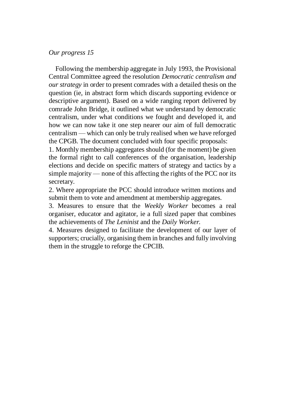#### *Our progress 15*

Following the membership aggregate in July 1993, the Provisional Central Committee agreed the resolution *Democratic centralism and our strategy* in order to present comrades with a detailed thesis on the question (ie, in abstract form which discards supporting evidence or descriptive argument). Based on a wide ranging report delivered by comrade John Bridge, it outlined what we understand by democratic centralism, under what conditions we fought and developed it, and how we can now take it one step nearer our aim of full democratic centralism — which can only be truly realised when we have reforged the CPGB. The document concluded with four specific proposals:

1. Monthly membership aggregates should (for the moment) be given the formal right to call conferences of the organisation, leadership elections and decide on specific matters of strategy and tactics by a simple majority — none of this affecting the rights of the PCC nor its secretary.

2. Where appropriate the PCC should introduce written motions and submit them to vote and amendment at membership aggregates.

3. Measures to ensure that the *Weekly Worker* becomes a real organiser, educator and agitator, ie a full sized paper that combines the achievements of *The Leninist* and the *Daily Worker.*

4. Measures designed to facilitate the development of our layer of supporters; crucially, organising them in branches and fully involving them in the struggle to reforge the CPCIB.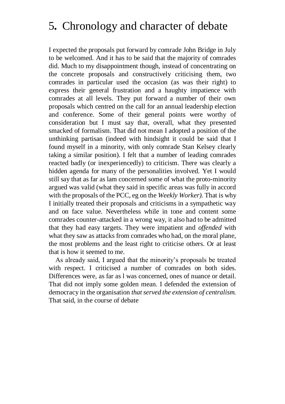### 5*.* Chronology and character of debate

I expected the proposals put forward by comrade John Bridge in July to be welcomed. And it has to be said that the majority of comrades did. Much to my disappointment though, instead of concentrating on the concrete proposals and constructively criticising them, two comrades in particular used the occasion (as was their right) to express their general frustration and a haughty impatience with comrades at all levels. They put forward a number of their own proposals which centred on the call for an annual leadership election and conference. Some of their general points were worthy of consideration but I must say that, overall, what they presented smacked of formalism. That did not mean I adopted a position of the unthinking partisan (indeed with hindsight it could be said that I found myself in a minority, with only comrade Stan Kelsey clearly taking a similar position). I felt that a number of leading comrades reacted badly (or inexperiencedly) to criticism. There was clearly a hidden agenda for many of the personalities involved. Yet I would still say that as far as lam concerned some of what the proto-minority argued was valid (what they said in specific areas was fully in accord with the proposals of the PCC, eg on the *Weekly Worker).* That is why I initially treated their proposals and criticisms in a sympathetic way and on face value. Nevertheless while in tone and content some comrades counter-attacked in a wrong way, it also had to be admitted that they had easy targets. They were impatient and *offended* with what they saw as attacks from comrades who had, on the moral plane, the most problems and the least right to criticise others. Or at least that is how it seemed to me.

As already said, I argued that the minority's proposals be treated with respect. I criticised a number of comrades on both sides. Differences were, as far as l was concerned, ones of nuance or detail. That did not imply some golden mean. I defended the extension of democracy in the organisation *that served the extension of centralism.*  That said, in the course of debate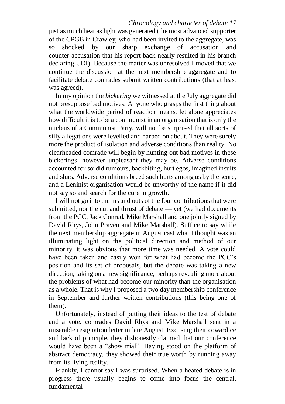#### *Chronology and character of debate 17*

just as much heat as light was generated (the most advanced supporter of the CPGB in Crawley, who had been invited to the aggregate, was so shocked by our sharp exchange of accusation and counter-accusation that his report back nearly resulted in his branch declaring UDI). Because the matter was unresolved I moved that we continue the discussion at the next membership aggregate and to facilitate debate comrades submit written contributions (that at least was agreed).

In my opinion the *bickering* we witnessed at the July aggregate did not presuppose bad motives. Anyone who grasps the first thing about what the worldwide period of reaction means, let alone appreciates how difficult it is to be a communist in an organisation that is only the nucleus of a Communist Party, will not be surprised that all sorts of silly allegations were levelled and harped on about. They were surely more the product of isolation and adverse conditions than reality. No clearheaded comrade will begin by hunting out bad motives in these bickerings, however unpleasant they may be. Adverse conditions accounted for sordid rumours, backbiting, hurt egos, imagined insults and slurs. Adverse conditions breed such hurts among us by the score, and a Leninist organisation would be unworthy of the name if it did not say so and search for the cure in growth.

I will not go into the ins and outs of the four contributions that were submitted, nor the cut and thrust of debate — yet (we had documents from the PCC, Jack Conrad, Mike Marshall and one jointly signed by David Rhys, John Praven and Mike Marshall). Suffice to say while the next membership aggregate in August cast what I thought was an illuminating light on the political direction and method of our minority, it was obvious that more time was needed. A vote could have been taken and easily won for what had become the PCC's position and its set of proposals, but the debate was taking a new direction, taking on a new significance, perhaps revealing more about the problems of what had become our minority than the organisation as a whole. That is why I proposed a two day membership conference in September and further written contributions (this being one of them).

Unfortunately, instead of putting their ideas to the test of debate and a vote, comrades David Rhys and Mike Marshall sent in a miserable resignation letter in late August. Excusing their cowardice and lack of principle, they dishonestly claimed that our conference would have been a "show trial". Having stood on the platform of abstract democracy, they showed their true worth by running away from its living reality.

Frankly, I cannot say I was surprised. When a heated debate is in progress there usually begins to come into focus the central, fundamental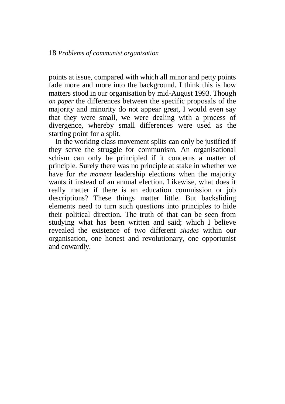points at issue, compared with which all minor and petty points fade more and more into the background. I think this is how matters stood in our organisation by mid-August 1993. Though *on paper* the differences between the specific proposals of the majority and minority do not appear great, I would even say that they were small, we were dealing with a process of divergence, whereby small differences were used as the starting point for a split.

In the working class movement splits can only be justified if they serve the struggle for communism. An organisational schism can only be principled if it concerns a matter of principle. Surely there was no principle at stake in whether we have for *the moment* leadership elections when the majority wants it instead of an annual election. Likewise, what does it really matter if there is an education commission or job descriptions? These things matter little. But backsliding elements need to turn such questions into principles to hide their political direction. The truth of that can be seen from studying what has been written and said; which I believe revealed the existence of two different *shades* within our organisation, one honest and revolutionary, one opportunist and cowardly.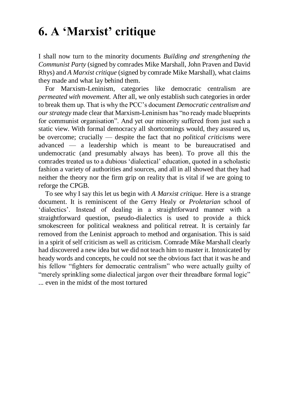## **6. A 'Marxist' critique**

I shall now turn to the minority documents *Building and strengthening the Communist Party* (signed by comrades Mike Marshall, John Praven and David Rhys) and *A Marxist critique* (signed by comrade Mike Marshall), what claims they made and what lay behind them.

For Marxism-Leninism, categories like democratic centralism are *permeated with movement.* After all, we only establish such categories in order to break them up. That is why the PCC's document *Democratic centralism and our strategy* made clear that Marxism-Leninism has "no ready made blueprints for communist organisation". And yet our minority suffered from just such a static view. With formal democracy all shortcomings would, they assured us, be overcome; crucially — despite the fact that no *political criticisms* were advanced — a leadership which is meant to be bureaucratised and undemocratic (and presumably always has been). To prove all this the comrades treated us to a dubious 'dialectical' education, quoted in a scholastic fashion a variety of authorities and sources, and all in all showed that they had neither the theory nor the firm grip on reality that is vital if we are going to reforge the CPGB.

To see why I say this let us begin with *A Marxist critique.* Here is a strange document. It is reminiscent of the Gerry Healy or *Proletarian* school of 'dialectics'. Instead of dealing in a straightforward manner with a straightforward question, pseudo-dialectics is used to provide a thick smokescreen for political weakness and political retreat. It is certainly far removed from the Leninist approach to method and organisation. This is said in a spirit of self criticism as well as criticism. Comrade Mike Marshall clearly had discovered a new idea but we did not teach him to master it. Intoxicated by heady words and concepts, he could not see the obvious fact that it was he and his fellow "fighters for democratic centralism" who were actually guilty of "merely sprinkling some dialectical jargon over their threadbare formal logic" ... even in the midst of the most tortured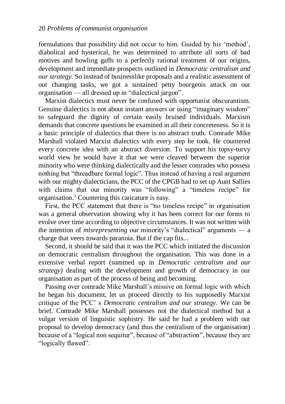formulations that possibility did not occur to him. Guided by his 'method', diabolical and hysterical, he was determined to attribute all sorts of bad motives and howling gaffs to a perfectly rational treatment of our origins, development and immediate prospects outlined in *Democratic centralism and our strategy.* So instead of businesslike proposals and a realistic assessment of our changing tasks, we got a sustained petty bourgeois attack on our organisation — all dressed up in "dialectical jargon".

Marxist dialectics must never be confused with opportunist obscurantism. Genuine dialectics is not about instant answers or using "imaginary wisdom" to safeguard the dignity of certain easily bruised individuals. Marxism demands that concrete questions be examined in all their concreteness. So it is a basic principle of dialectics that there is no abstract truth. Comrade Mike Marshall violated Marxist dialectics with every step he took. He countered every concrete idea with an abstract diversion. To support his topsy-turvy world view he would have it that we were cleaved between the superior minority who were thinking dialectically and the lesser comrades who possess nothing but "threadbare formal logic". Thus instead of having a real argument with our mighty dialecticians, the PCC of the CPGB had to set up Aunt Sallies with claims that our minority was "following" a "timeless recipe" for organisation.<sup>3</sup> Countering this caricature is easy.

First, the PCC statement that there is "no timeless recipe" in organisation was a general observation showing why it has been correct for our forms to evolve over time according to objective circumstances. It was not written with the intention of *misrepresenting* our minority's "dialectical" arguments — a charge that veers towards paranoia. But if the cap fits...

Second, it should be said that it was the PCC which initiated the discussion on democratic centralism throughout the organisation. This was done in a extensive verbal report (summed up in *Democratic centralism and our strategy)* dealing with the development and growth of democracy in our organisation as part of the process of being and becoming.

Passing over comrade Mike Marshall's missive on formal logic with which he began his document, let us proceed directly to his supposedly Marxist critique of the PCC' s *Democratic centralism and our strategy.* We can be brief. Comrade Mike Marshall possesses not the dialectical method but a vulgar version of linguistic sophistry. He said he had a problem with our proposal to develop democracy (and thus the centralism of the organisation) because of a "logical non sequitur", because of "abstraction", because they are "logically flawed".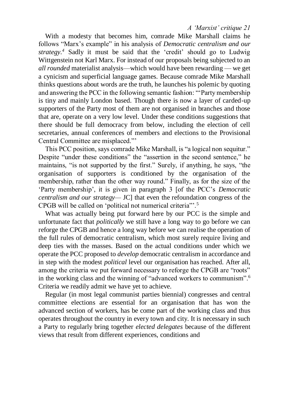*A 'Marxist' critique 21*

With a modesty that becomes him, comrade Mike Marshall claims he follows "Marx's example" in his analysis of *Democratic centralism and our strategy.<sup>4</sup>* Sadly it must be said that the 'credit' should go to Ludwig Wittgenstein not Karl Marx. For instead of our proposals being subjected to an *all rounded* materialist analysis—which would have been rewarding — we get a cynicism and superficial language games. Because comrade Mike Marshall thinks questions about words are the truth, he launches his polemic by quoting and answering the PCC in the following semantic fashion: "'Party membership is tiny and mainly London based. Though there is now a layer of carded-up supporters of the Party most of them are not organised in branches and those that are, operate on a very low level. Under these conditions suggestions that there should be full democracy from below, including the election of cell secretaries, annual conferences of members and elections to the Provisional Central Committee are misplaced."'

This PCC position, says comrade Mike Marshall, is "a logical non sequitur." Despite "under these conditions" the "assertion in the second sentence," he maintains, "is not supported by the first." Surely, if anything, he says, "the organisation of supporters is conditioned by the organisation of the membership, rather than the other way round." Finally, as for the size of the 'Party membership', it is given in paragraph 3 [of the PCC's *Democratic centralism and our strategy—* JC] that even the refoundation congress of the CPGB will be called on 'political not numerical criteria"'.<sup>5</sup>

What was actually being put forward here by our PCC is the simple and unfortunate fact that *politically* we still have a long way to go before we can reforge the CPGB and hence a long way before we can realise the operation of the full rules of democratic centralism, which most surely require living and deep ties with the masses. Based on the actual conditions under which we operate the PCC proposed to *develop* democratic centralism in accordance and in step with the modest *political* level our organisation has reached. After all, among the criteria we put forward necessary to reforge the CPGB are "roots" in the working class and the winning of "advanced workers to communism".<sup>6</sup> Criteria we readily admit we have yet to achieve.

Regular (in most legal communist parties biennial) congresses and central committee elections are essential for an organisation that has won the advanced section of workers, has be come part of the working class and thus operates throughout the country in every town and city. It is necessary in such a Party to regularly bring together *elected delegates* because of the different views that result from different experiences, conditions and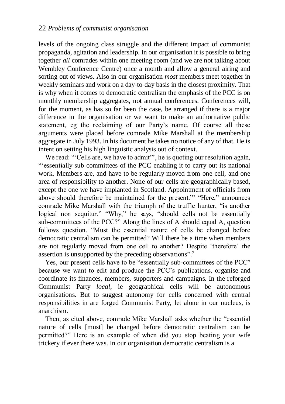levels of the ongoing class struggle and the different impact of communist propaganda, agitation and leadership. In our organisation it is possible to bring together *all* comrades within one meeting room (and we are not talking about Wembley Conference Centre) once a month and allow a general airing and sorting out of views. Also in our organisation *most* members meet together in weekly seminars and work on a day-to-day basis in the closest proximity. That is why when it comes to democratic centralism the emphasis of the PCC is on monthly membership aggregates, not annual conferences. Conferences will, for the moment, as has so far been the case, be arranged if there is a major difference in the organisation or we want to make an authoritative public statement, eg the reclaiming of our Party's name. Of course all these arguments were placed before comrade Mike Marshall at the membership aggregate in July 1993. In his document he takes no notice of any of that. He is intent on setting his high linguistic analysis out of context.

We read: "Cells are, we have to admit"', he is quoting our resolution again, "'essentially sub-committees of the PCC enabling it to carry out its national work. Members are, and have to be regularly moved from one cell, and one area of responsibility to another. None of our cells are geographically based, except the one we have implanted in Scotland. Appointment of officials from above should therefore be maintained for the present."' "Here," announces comrade Mike Marshall with the triumph of the truffle hunter, "is another logical non sequitur." "Why," he says, "should cells not be essentially sub-committees of the PCC?" Along the lines of A should equal A, question follows question. "Must the essential nature of cells be changed before democratic centralism can be permitted? Will there be a time when members are not regularly moved from one cell to another? Despite 'therefore' the assertion is unsupported by the preceding observations".<sup>7</sup>

Yes, our present cells have to be "essentially sub-committees of the PCC" because we want to edit and produce the PCC's publications, organise and coordinate its finances, members, supporters and campaigns. In the reforged Communist Party *local,* ie geographical cells will be autonomous organisations. But to suggest autonomy for cells concerned with central responsibilities in are forged Communist Party, let alone in our nucleus, is anarchism.

Then, as cited above, comrade Mike Marshall asks whether the "essential nature of cells [must] be changed before democratic centralism can be permitted?" Here is an example of when did you stop beating your wife trickery if ever there was. In our organisation democratic centralism is a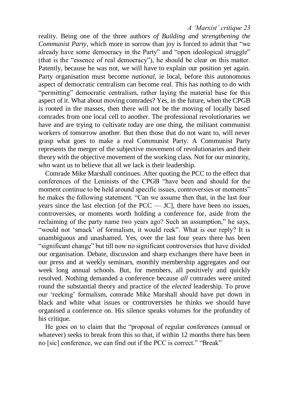#### *A 'Marxist' critique 23*

reality. Being one of the three authors *of Building and strengthening the Communist Party,* which more in sorrow than joy is forced to admit that "we already have some democracy in the Party" and "open ideological struggle" (that is the "essence of real democracy"), he should be clear on this matter. Patently, because he was not, we will have to explain our position yet again. Party organisation must become *national,* ie local, before this autonomous aspect of democratic centralism can become real. This has nothing to do with "permitting" democratic centralism, rather laying the material base for this aspect of it. What about moving comrades? Yes, in the future, when the CPGB is rooted in the masses, then there will not be the moving of locally based comrades from one local cell to another. The professional revolutionaries we have and are trying to cultivate today are one thing, the militant communist workers of tomorrow another. But then those that do not want to, will never grasp what goes to make a real Communist Party. A Communist Party represents the merger of the subjective movement of revolutionaries and their theory with the objective movement of the working class. Not for our minority, who want us to believe that all we lack is their leadership.

Comrade Mike Marshall continues. After quoting the PCC to the effect that conferences of the Leninists of the CPGB "have been and should for the moment continue to be held around specific issues, controversies or moments" he makes the following statement. "Can we assume then that, in the last four years since the last election [of the  $PCC - JC$ ], there have been no issues, controversies, or moments worth holding a conference for, aside from the reclaiming of the party name two years ago? Such an assumption," he says, "would not 'smack' of formalism, it would reek". What is our reply? It is unambiguous and unashamed. Yes, over the last four years there has been "significant change" but till now no significant controversies that have divided our organisation. Debate, discussion and sharp exchanges there have been in our press and at weekly seminars, monthly membership aggregates and our week long annual schools. But, for members, all positively and quickly resolved. Nothing demanded a conference because *all* comrades were united round the substantial theory and practice of the *elected* leadership. To prove our 'reeking' formalism, comrade Mike Marshall should have put down in black and white what issues or controversies he thinks we should have organised a conference on. His silence speaks volumes for the profundity of his critique.

He goes on to claim that the "proposal of regular conferences (annual or whatever) seeks to break from this so that, if within 12 months there has been no [sic] conference, we can find out if the PCC is correct." "Break"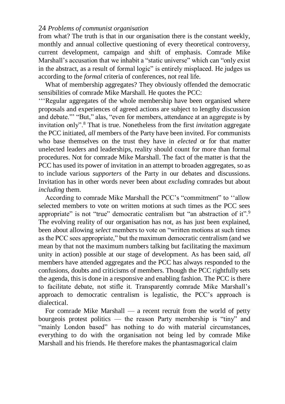#### 24 *Problems of communist organisation*

from what? The truth is that in our organisation there is the constant weekly, monthly and annual collective questioning of every theoretical controversy, current development, campaign and shift of emphasis. Comrade Mike Marshall's accusation that we inhabit a "static universe" which can "only exist" in the abstract, as a result of formal logic" is entirely misplaced. He judges us according to the *formal* criteria of conferences, not real life.

What of membership aggregates? They obviously offended the democratic sensibilities of comrade Mike Marshall. He quotes the PCC:

'''Regular aggregates of the whole membership have been organised where proposals and experiences of agreed actions are subject to lengthy discussion and debate."' "But," alas, "even for members, attendance at an aggregate is by invitation only".<sup>8</sup> That is true. Nonetheless from the first *invitation* aggregate the PCC initiated, *all* members of the Party have been invited. For communists who base themselves on the trust they have in *elected* or for that matter unelected leaders and leaderships, reality should count for more than formal procedures. Not for comrade Mike Marshall. The fact of the matter is that the PCC has used its power of invitation in an attempt to broaden aggregates, so as to include various *supporters* of the Party in our debates and discussions. Invitation has in other words never been about *excluding* comrades but about *including* them.

According to comrade Mike Marshall the PCC's "commitment" to ''allow selected members to vote on written motions at such times as the PCC sees appropriate" is not "true" democratic centralism but "an abstraction of it".<sup>9</sup> The evolving reality of our organisation has not, as has just been explained, been about allowing *select* members to vote on "written motions at such times as the PCC sees appropriate," but the maximum democratic centralism (and we mean by that not the maximum numbers talking but facilitating the maximum unity in action) possible at our stage of development. As has been said, *all*  members have attended aggregates and the PCC has always responded to the confusions, doubts and criticisms of members. Though the PCC rightfully sets the agenda, this is done in a responsive and enabling fashion. The PCC is there to facilitate debate, not stifle it. Transparently comrade Mike Marshall's approach to democratic centralism is legalistic, the PCC's approach is dialectical.

For comrade Mike Marshall — a recent recruit from the world of petty bourgeois protest politics — the reason Party membership is "tiny" and "mainly London based" has nothing to do with material circumstances, everything to do with the organisation not being led by comrade Mike Marshall and his friends. He therefore makes the phantasmagorical claim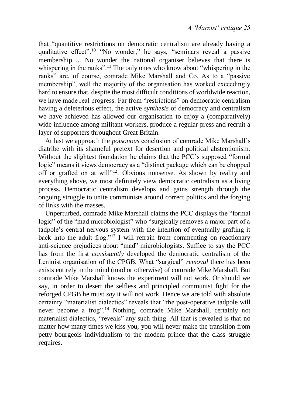that "quantitive restrictions on democratic centralism are already having a qualitative effect".<sup>10</sup> "No wonder," he says, "seminars reveal a passive membership ... No wonder the national organiser believes that there is whispering in the ranks".<sup>11</sup> The only ones who know about "whispering in the ranks" are, of course, comrade Mike Marshall and Co. As to a "passive membership", well the majority of the organisation has worked exceedingly hard to ensure that, despite the most difficult conditions of worldwide reaction, we have made real progress. Far from "restrictions" on democratic centralism having a deleterious effect, the active *synthesis* of democracy and centralism we have achieved has allowed our organisation to enjoy a (comparatively) wide influence among militant workers, produce a regular press and recruit a layer of supporters throughout Great Britain.

At last we approach the *poisonous* conclusion of comrade Mike Marshall's diatribe with its shameful pretext for desertion and political abstentionism. Without the slightest foundation he claims that the PCC's supposed "formal logic" means it views democracy as a "distinct package which can be chopped off or grafted on at will"<sup>12</sup>. Obvious nonsense. As shown by reality and everything above, we most definitely view democratic centralism as a living process. Democratic centralism develops and gains strength through the ongoing struggle to unite communists around correct politics and the forging of links with the masses.

Unperturbed, comrade Mike Marshall claims the PCC displays the "formal logic" of the "mad microbiologist" who "surgically removes a major part of a tadpole's central nervous system with the intention of eventually grafting it back into the adult frog."<sup>13</sup> I will refrain from commenting on reactionary anti-science prejudices about "mad" microbiologists. Suffice to say the PCC has from the first *consistently* developed the democratic centralism of the Leninist organisation of the CPGB. What "surgical" *removal* there has been exists entirely in the mind (mad or otherwise) of comrade Mike Marshall. But comrade Mike Marshall knows the experiment will not work. Or should we say, in order to desert the selfless and principled communist fight for the reforged CPGB he must *say* it will not work. Hence we are told with absolute certainty "materialist dialectics" reveals that "the post-operative tadpole will never become a frog".<sup>14</sup> Nothing, comrade Mike Marshall, certainly not materialist dialectics, "reveals" any such thing. All that is revealed is that no matter how many times we kiss you, you will never make the transition from petty bourgeois individualism to the modem prince that the class struggle requires.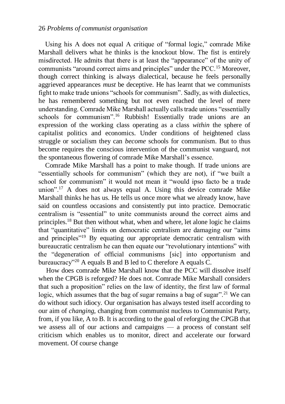#### 26 *Problems of communist organisation*

Using his A does not equal A critique of "formal logic," comrade Mike Marshall delivers what he thinks is the knockout blow. The fist is entirely misdirected. He admits that there is at least the "appearance" of the unity of communists "around correct aims and principles" under the PCC.<sup>15</sup> Moreover, though correct thinking is always dialectical, because he feels personally aggrieved appearances *must* be deceptive. He has learnt that we communists fight to make trade unions "schools for communism". Sadly, as with dialectics, he has remembered something but not even reached the level of mere understanding. Comrade Mike Marshall actually calls trade unions "essentially schools for communism".<sup>16</sup> Rubbish! Essentially trade unions are an expression of the working class operating as a class *within* the sphere of capitalist politics and economics. Under conditions of heightened class struggle or socialism they can *become* schools for communism. But to thus become requires the conscious intervention of the communist vanguard, not the spontaneous flowering of comrade Mike Marshall's essence.

Comrade Mike Marshall has a point to make though. If trade unions are "essentially schools for communism" (which they are not), if "we built a school for communism" it would not mean it "would ipso facto be a trade union".<sup>17</sup> A does not always equal A. Using this device comrade Mike Marshall thinks he has us. He tells us once more what we already know, have said on countless occasions and consistently put into practice. Democratic centralism is "essential" to unite communists around the correct aims and principles.<sup>18</sup> But then without what, when and where, let alone logic he claims that "quantitative" limits on democratic centralism are damaging our "aims and principles"<sup>19</sup> By equating our appropriate democratic centralism with bureaucratic centralism he can then equate our "revolutionary intentions" with the "degeneration of official communisms [sic] into opportunism and bureaucracy"<sup>20</sup> A equals B and B led to C therefore A equals C.

How does comrade Mike Marshall know that the PCC will dissolve itself when the CPGB is reforged? He does not. Comrade Mike Marshall considers that such a proposition" relies on the law of identity, the first law of formal logic, which assumes that the bag of sugar remains a bag of sugar".<sup>21</sup> We can do without such idiocy. Our organisation has always tested itself according to our aim of *changing,* changing from communist nucleus to Communist Party, from, if you like, A to B. It is according to the goal of reforging the CPGB that we assess all of our actions and campaigns — a process of constant self criticism which enables us to monitor, direct and accelerate our forward movement. Of course change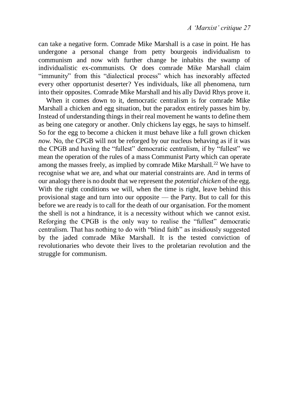can take a negative form. Comrade Mike Marshall is a case in point. He has undergone a personal change from petty bourgeois individualism to communism and now with further change he inhabits the swamp of individualistic ex-communists. Or does comrade Mike Marshall claim "immunity" from this "dialectical process" which has inexorably affected every other opportunist deserter? Yes individuals, like all phenomena, turn into their opposites. Comrade Mike Marshall and his ally David Rhys prove it.

When it comes down to it, democratic centralism is for comrade Mike Marshall a chicken and egg situation, but the paradox entirely passes him by. Instead of understanding things in their real movement he wants to define them as being one category or another. Only chickens lay eggs, he says to himself. So for the egg to become a chicken it must behave like a full grown chicken *now.* No, the CPGB will not be reforged by our nucleus behaving as if it was the CPGB and having the "fullest" democratic centralism, if by "fullest" we mean the operation of the rules of a mass Communist Party which can operate among the masses freely, as implied by comrade Mike Marshall.<sup>22</sup> We have to recognise what we are, and what our material constraints are. And in terms of our analogy there is no doubt that we represent the *potential chicken* of the egg. With the right conditions we will, when the time is right, leave behind this provisional stage and turn into our opposite — the Party. But to call for this before we are ready is to call for the death of our organisation. For the moment the shell is not a hindrance, it is a necessity without which we cannot exist. Reforging the CPGB is the only way to realise the "fullest" democratic centralism. That has nothing to do with "blind faith" as insidiously suggested by the jaded comrade Mike Marshall. It is the tested conviction of revolutionaries who devote their lives to the proletarian revolution and the struggle for communism.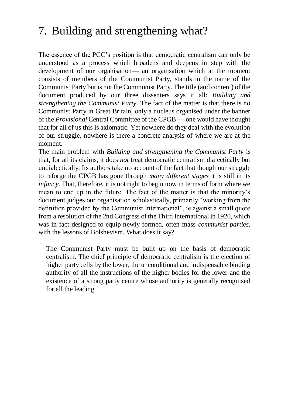## 7. Building and strengthening what?

The essence of the PCC's position is that democratic centralism can only be understood as a process which broadens and deepens in step with the development of our organisation— an organisation which at the moment consists of members of the Communist Party, stands in the name of the Communist Party but is not the Communist Party. The title (and content) of the document produced by our three dissenters says it all: *Building and strengthening the Communist Party.* The fact of the matter is that there is no Communist Party in Great Britain, only a nucleus organised under the banner of the *Provisional* Central Committee of the CPGB — one would have thought that for all of us this is axiomatic. Yet nowhere do they deal with the evolution of our struggle, nowhere is there a concrete analysis of where we are at the moment.

The main problem with *Building and strengthening the Communist Party* is that, for all its claims, it does *not* treat democratic centralism dialectically but undialectically. Its authors take no account of the fact that though our struggle to reforge the CPGB has gone through *many different stages* it is still in its *infancy*. That, therefore, it is not right to begin now in terms of form where we mean to end up in the future. The fact of the matter is that the minority's document judges our organisation scholastically, primarily "working from the definition provided by the Communist International", ie against a small quote from a resolution of the 2nd Congress of the Third International in 1920, which was in fact designed to equip newly formed, often mass *communist parties,*  with the lessons of Bolshevism. What does it say?

The Communist Party must be built up on the basis of democratic centralism. The chief principle of democratic centralism is the election of higher party cells by the lower, the unconditional and indispensable binding authority of all the instructions of the higher bodies for the lower and the existence of a strong party centre whose authority is generally recognised for all the leading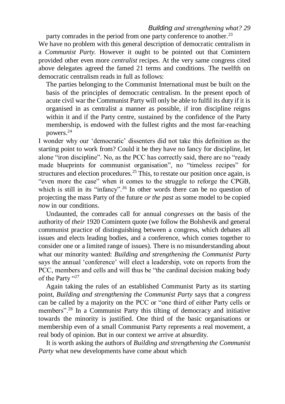#### *Building and strengthening what? 29*

party comrades in the period from one party conference to another.<sup>23</sup>

We have no problem with this general description of democratic centralism in a *Communist Party.* However it ought to be pointed out that Comintern provided other even more *centralist* recipes. At the very same congress cited above delegates agreed the famed 21 terms and conditions. The twelfth on democratic centralism reads in full as follows:

The parties belonging to the Communist International must be built on the basis of the principles of democratic centralism. In the present epoch of acute civil war the Communist Party will only be able to fulfil its duty if it is organised in as centralist a manner as possible, if iron discipline reigns within it and if the Party centre, sustained by the confidence of the Party membership, is endowed with the fullest rights and the most far-reaching powers.<sup>24</sup>

I wonder why our 'democratic' dissenters did not take this definition as the starting point to work from? Could it be they have no fancy for discipline, let alone "iron discipline". No, as the PCC has correctly said, there are no "ready made blueprints for communist organisation", no "timeless recipes" for structures and election procedures.<sup>25</sup> This, to restate our position once again, is "even more the case" when it comes to the struggle to reforge the CPGB, which is still in its "infancy".<sup>26</sup> In other words there can be no question of projecting the mass Party of the future *or the past* as some model to be copied *now* in our conditions.

Undaunted, the comrades call for annual *congresses* on the basis of the authority of *their* 1920 Comintern quote (we follow the Bolshevik and general communist practice of distinguishing between a congress, which debates all issues and elects leading bodies, and a conference, which comes together to consider one or a limited range of issues). There is no misunderstanding about what our minority wanted: *Building and strengthening the Communist Party*  says the annual 'conference' will elect a leadership, vote on reports from the PCC, members and cells and will thus be "the cardinal decision making body of the Party "27

Again taking the rules of an established Communist Party as its starting point, *Building and strengthening the Communist Party* says that a *congress*  can be called by a majority on the PCC or "one third of either Party cells or members".<sup>28</sup> In a Communist Party this tilting of democracy and initiative towards the minority is justified. One third of the basic organisations or membership even of a small Communist Party represents a real movement, a real body of opinion. But in our context we arrive at absurdity.

It is worth asking the authors of *Building and strengthening the Communist Party* what new developments have come about which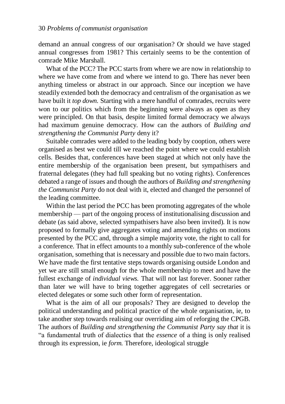demand an annual congress of our organisation? Or should we have staged annual congresses from 1981? This certainly seems to be the contention of comrade Mike Marshall.

What of the PCC? The PCC starts from where we are now in relationship to where we have come from and where we intend to go. There has never been anything timeless or abstract in our approach. Since our inception we have steadily extended both the democracy and centralism of the organisation as we have built it *top down.* Starting with a mere handful of comrades, recruits were won to our politics which from the beginning were always as open as they were principled. On that basis, despite limited formal democracy we always had maximum genuine democracy. How can the authors of *Building and strengthening the Communist Party* deny it?

Suitable comrades were added to the leading body by cooption, others were organised as best we could till we reached the point where we could establish cells. Besides that, conferences have been staged at which not only have the entire membership of the organisation been present, but sympathisers and fraternal delegates (they had full speaking but no voting rights). Conferences debated a range of issues and though the authors of *Building and strengthening the Communist Party* do not deal with it, elected and changed the personnel of the leading committee.

Within the last period the PCC has been promoting aggregates of the whole membership — part of the ongoing process of institutionalising discussion and debate (as said above, selected sympathisers have also been invited). It is now proposed to formally give aggregates voting and amending rights on motions presented by the PCC and, through a simple majority vote, the right to call for a conference. That in effect amounts to a monthly sub-conference of the whole organisation, something that is necessary and possible due to two main factors. We have made the first tentative steps towards organising outside London and yet we are still small enough for the whole membership to meet and have the fullest exchange of *individual views.* That will not last forever. Sooner rather than later we will have to bring together aggregates of cell secretaries or elected delegates or some such other form of representation.

What is the aim of all our proposals? They are designed to develop the political understanding and political practice of the whole organisation, ie, to take another step towards realising our overriding aim of reforging the CPGB. The authors of *Building and strengthening the Communist Party say that* it is "a fundamental truth of dialectics that the *essence* of a thing is only realised through its expression, ie *form.* Therefore, ideological struggle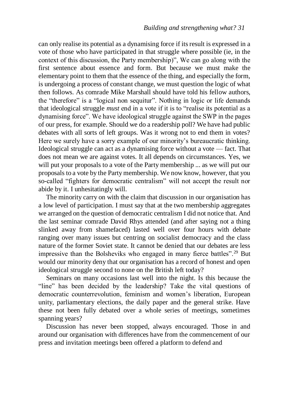can only realise its potential as a dynamising force if its result is expressed in a vote of those who have participated in that struggle where possible (ie, in the context of this discussion, the Party membership)", We can go along with the first sentence about essence and form. But because we must make the elementary point to them that the essence of the thing, and especially the form, is undergoing a process of constant change, we must question the logic of what then follows. As comrade Mike Marshall should have told his fellow authors, the "therefore" is a "logical non sequitur". Nothing in logic or life demands that ideological struggle *must* end in a vote if it is to "realise its potential as a dynamising force". We have ideological struggle against the SWP in the pages of our press, for example. Should we do a readership poll? We have had public debates with all sorts of left groups. Was it wrong not to end them in votes? Here we surely have a sorry example of our minority's bureaucratic thinking. Ideological struggle can act as a dynamising force without a vote — fact. That does not mean we are against votes. It all depends on circumstances. Yes, we will put your proposals to a vote of the Party membership ... as we will put our proposals to a vote by the Party membership. We now know, however, that you so-called "fighters for democratic centralism" will not accept the result nor abide by it. I unhesitatingly will.

The minority carry on with the claim that discussion in our organisation has a low level of participation. I must say that at the two membership aggregates we arranged on the question of democratic centralism I did not notice that. And the last seminar comrade David Rhys attended (and after saying not a thing slinked away from shamefaced) lasted well over four hours with debate ranging over many issues but centring on socialist democracy and the class nature of the former Soviet state. It cannot be denied that our debates are less impressive than the Bolsheviks who engaged in many fierce battles".<sup>29</sup> But would our minority deny that our organisation has a record of honest and open ideological struggle second to none on the British left today?

Seminars on many occasions last well into the night. Is this because the "line" has been decided by the leadership? Take the vital questions of democratic counterrevolution, feminism and women's liberation, European unity, parliamentary elections, the daily paper and the general strike. Have these not been fully debated over a whole series of meetings, sometimes spanning years?

Discussion has never been stopped, always encouraged. Those in and around our organisation with differences have from the commencement of our press and invitation meetings been offered a platform to defend and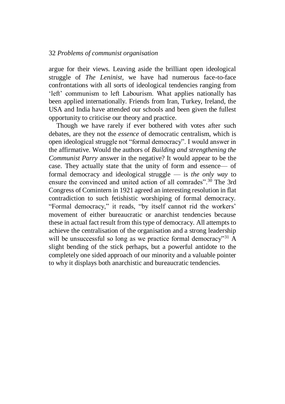#### 32 *Problems of communist organisation*

argue for their views. Leaving aside the brilliant open ideological struggle of *The Leninist,* we have had numerous face-to-face confrontations with all sorts of ideological tendencies ranging from 'left' communism to left Labourism. What applies nationally has been applied internationally. Friends from Iran, Turkey, Ireland, the USA and India have attended our schools and been given the fullest opportunity to criticise our theory and practice.

Though we have rarely if ever bothered with votes after such debates, are they not the *essence* of democratic centralism, which is open ideological struggle not "formal democracy". I would answer in the affirmative. Would the authors of *Building and strengthening the Communist Parry* answer in the negative? It would appear to be the case. They actually state that the unity of form and essence— of formal democracy and ideological struggle — is *the only way* to ensure the convinced and united action of all comrades"<sup>30</sup> The 3rd Congress of Comintern in 1921 agreed an interesting resolution in flat contradiction to such fetishistic worshiping of formal democracy. "Formal democracy," it reads, "by itself cannot rid the workers' movement of either bureaucratic or anarchist tendencies because these in actual fact result from this type of democracy. All attempts to achieve the centralisation of the organisation and a strong leadership will be unsuccessful so long as we practice formal democracy"<sup>31</sup> A slight bending of the stick perhaps, but a powerful antidote to the completely one sided approach of our minority and a valuable pointer to why it displays both anarchistic and bureaucratic tendencies.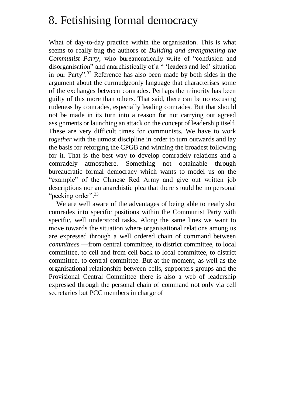#### 8. Fetishising formal democracy

What of day-to-day practice within the organisation. This is what seems to really bug the authors of *Building and strengthening the Communist Parry,* who bureaucratically write of "confusion and disorganisation" and anarchistically of a " 'leaders and led' situation in our Party".<sup>32</sup> Reference has also been made by both sides in the argument about the curmudgeonly language that characterises some of the exchanges between comrades. Perhaps the minority has been guilty of this more than others. That said, there can be no excusing rudeness by comrades, especially leading comrades. But that should not be made in its turn into a reason for not carrying out agreed assignments or launching an attack on the concept of leadership itself. These are very difficult times for communists. We have to work *together* with the utmost discipline in order to turn outwards and lay the basis for reforging the CPGB and winning the broadest following for it. That is the best way to develop comradely relations and a comradely atmosphere. Something not obtainable through bureaucratic formal democracy which wants to model us on the "example" of the Chinese Red Army and give out written job descriptions nor an anarchistic plea that there should be no personal "pecking order".<sup>33</sup>

We are well aware of the advantages of being able to neatly slot comrades into specific positions within the Communist Party with specific, well understood tasks. Along the same lines we want to move towards the situation where organisational relations among us are expressed through a well ordered chain of command between *committees* —from central committee, to district committee, to local committee, to cell and from cell back to local committee, to district committee, to central committee. But at the moment, as well as the organisational relationship between cells, supporters groups and the Provisional Central Committee there is also a web of leadership expressed through the personal chain of command not only via cell secretaries but PCC members in charge of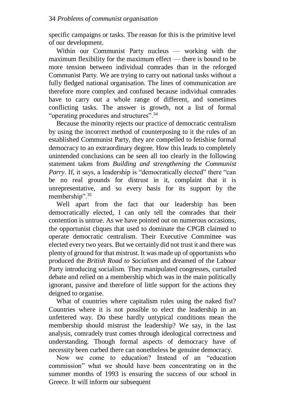specific campaigns or tasks. The reason for this is the primitive level of our development.

Within our Communist Party nucleus — working with the maximum flexibility for the maximum effect — there is bound to be more tension between individual comrades than in the reforged Communist Party. We are trying to carry out national tasks without a fully fledged national organisation. The lines of communication are therefore more complex and confused because individual comrades have to carry out a whole range of different, and sometimes conflicting tasks. The answer is growth, not a list of formal "operating procedures and structures".<sup>34</sup>

Because the minority rejects our practice of democratic centralism by using the incorrect method of counterposing to it the rules of an established Communist Party, they are compelled to fetishise formal democracy to an extraordinary degree. How this leads to completely unintended conclusions can be seen all too clearly in the following statement taken from *Building and strengthening the Communist Parry.* If, it says, a leadership is "democratically elected" there "can be no real grounds for distrust in it, complaint that it is unrepresentative, and so every basis for its support by the membership".<sup>35</sup>

Well apart from the fact that our leadership has been democratically elected, I can only tell the comrades that their contention is untrue. As we have pointed out on numerous occasions, the opportunist cliques that used to dominate the CPGB claimed to operate democratic centralism. Their Executive Committee was elected every two years. But we certainly did not trust it and there was plenty of ground for that mistrust. It was made up of opportunists who produced the *British Road to Socialism* and dreamed of the Labour Party introducing socialism. They manipulated congresses, curtailed debate and relied on a membership which was in the main politically ignorant, passive and therefore of little support for the actions they deigned to organise.

What of countries where capitalism rules using the naked fist? Countries where it is not possible to elect the leadership in an unfettered way. Do these hardly untypical conditions mean the membership should mistrust the leadership? We say, in the last analysis, comradely trust comes through ideological correctness and understanding. Though formal aspects of democracy have of necessity been curbed there can nonetheless be genuine democracy.

Now we come to education? Instead of an "education commission" what we should have been concentrating on in the summer months of 1993 is ensuring the success of our school in Greece. It will inform our subsequent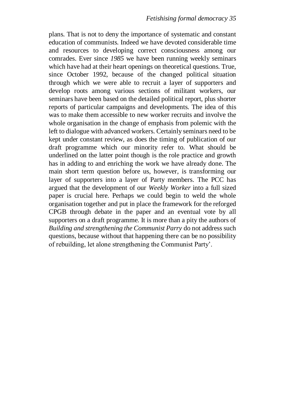plans. That is not to deny the importance of systematic and constant education of communists. Indeed we have devoted considerable time and resources to developing correct consciousness among our comrades. Ever since *1985* we have been running weekly seminars which have had at their heart openings on theoretical questions. True, since October 1992, because of the changed political situation through which we were able to recruit a layer of supporters and develop roots among various sections of militant workers, our seminars have been based on the detailed political report, plus shorter reports of particular campaigns and developments. The idea of this was to make them accessible to new worker recruits and involve the whole organisation in the change of emphasis from polemic with the left to dialogue with advanced workers. Certainly seminars need to be kept under constant review, as does the timing of publication of our draft programme which our minority refer to. What should be underlined on the latter point though is the role practice and growth has in adding to and enriching the work we have already done. The main short term question before us, however, is transforming our layer of supporters into a layer of Party members. The PCC has argued that the development of our *Weekly Worker* into a full sized paper is crucial here. Perhaps we could begin to weld the whole organisation together and put in place the framework for the reforged CPGB through debate in the paper and an eventual vote by all supporters on a draft programme. It is more than a pity the authors of *Building and strengthening the Communist Parry* do not address such questions, because without that happening there can be no possibility of rebuilding, let alone strengthening the Communist Party'.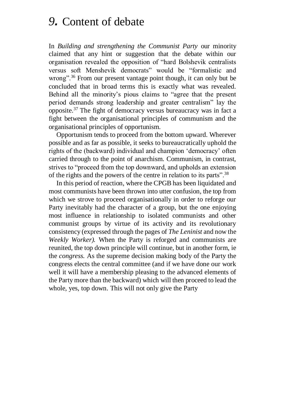#### *9.* Content of debate

In *Building and strengthening the Communist Party* our minority claimed that any hint or suggestion that the debate within our organisation revealed the opposition of "hard Bolshevik centralists versus soft Menshevik democrats" would be "formalistic and wrong".<sup>36</sup> From our present vantage point though, it can only but be concluded that in broad terms this is exactly what was revealed. Behind all the minority's pious claims to "agree that the present period demands strong leadership and greater centralism" lay the opposite.<sup>37</sup> The fight of democracy versus bureaucracy was in fact a fight between the organisational principles of communism and the organisational principles of opportunism.

Opportunism tends to proceed from the bottom upward. Wherever possible and as far as possible, it seeks to bureaucratically uphold the rights of the (backward) individual and champion 'democracy' often carried through to the point of anarchism. Communism, in contrast, strives to "proceed from the top downward, and upholds an extension of the rights and the powers of the centre in relation to its parts".<sup>38</sup>

In this period of reaction, where the CPGB has been liquidated and most communists have been thrown into utter confusion, the top from which we strove to proceed organisationally in order to reforge our Party inevitably had the character of a group, but the one enjoying most influence in relationship to isolated communists and other communist groups by virtue of its activity and its revolutionary consistency (expressed through the pages of *The Leninist* and now the *Weekly Worker).* When the Party is reforged and communists are reunited, the top down principle will continue, but in another form, ie the *congress.* As the supreme decision making body of the Party the congress elects the central committee (and if we have done our work well it will have a membership pleasing to the advanced elements of the Party more than the backward) which will then proceed to lead the whole, yes, top down. This will not only give the Party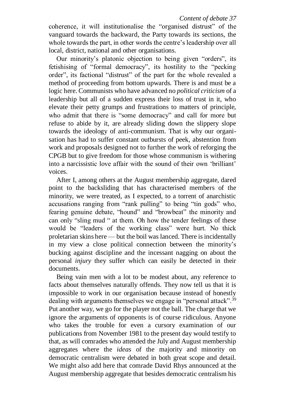coherence, it will institutionalise the "organised distrust" of the vanguard towards the backward, the Party towards its sections, the whole towards the part, in other words the centre's leadership over all local, district, national and other organisations.

Our minority's platonic objection to being given "orders", its fetishising of "formal democracy", its hostility to the "pecking order", its factional "distrust" of the part for the whole revealed a method of proceeding from bottom upwards. There is and must be a logic here. Communists who have advanced no *political criticism* of a leadership but all of a sudden express their loss of trust in it, who elevate their petty grumps and frustrations to matters of principle, who admit that there is "some democracy" and call for more but refuse to abide by it, are already sliding down the slippery slope towards the ideology of anti-communism. That is why our organisation has had to suffer constant outbursts of peek, abstention from work and proposals designed not to further the work of reforging the CPGB but to give freedom for those whose communism is withering into a narcissistic love affair with the sound of their own 'brilliant' voices.

After I, among others at the August membership aggregate, dared point to the backsliding that has characterised members of the minority, we were treated, as I expected, to a torrent of anarchistic accusations ranging from "rank pulling" to being "tin gods" who, fearing genuine debate, "hound" and "browbeat" the minority and can only "sling mud " at them. Oh how the tender feelings of these would be "leaders of the working class" were hurt. No thick proletarian skins here — but the boil was lanced. There is incidentally in my view a close political connection between the minority's bucking against discipline and the incessant nagging on about the personal *injury* they suffer which can easily be detected in their documents.

Being vain men with a lot to be modest about, any reference to facts about themselves naturally offends. They now tell us that it is impossible to work in our organisation because instead of honestly dealing with arguments themselves we engage in "personal attack".<sup>39</sup> Put another way, we go for the player not the ball. The charge that we ignore the arguments of opponents is of course ridiculous. Anyone who takes the trouble for even a cursory examination of our publications from November 1981 to the present day would testify to that, as will comrades who attended the July and August membership aggregates where the *ideas* of the majority and minority on democratic centralism were debated in both great scope and detail. We might also add here that comrade David Rhys announced at the August membership aggregate that besides democratic centralism his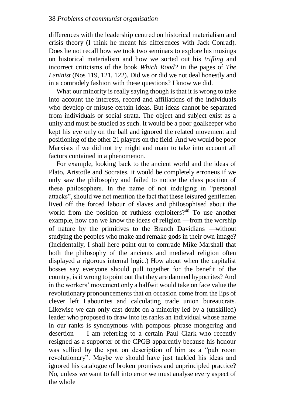differences with the leadership centred on historical materialism and crisis theory (I think he meant his differences with Jack Conrad). Does he not recall how we took two seminars to explore his musings on historical materialism and how we sorted out his *trifling* and incorrect criticisms of the book *Which Road?* in the pages of *The Leninist* (Nos 119, 121, 122). Did we or did we not deal honestly and in a comradely fashion with these questions? I know we did.

What our minority is really saying though is that it is wrong to take into account the interests, record and affiliations of the individuals who develop or misuse certain ideas. But ideas cannot be separated from individuals or social strata. The object and subject exist as a unity and must be studied as such. It would be a poor goalkeeper who kept his eye only on the ball and ignored the related movement and positioning of the other 21 players on the field. And we would be poor Marxists if we did not try might and main to take into account all factors contained in a phenomenon.

For example, looking back to the ancient world and the ideas of Plato, Aristotle and Socrates, it would be completely erroneus if we only saw the philosophy and failed to notice the class position of these philosophers. In the name of not indulging in "personal attacks", should we not mention the fact that these leisured gentlemen lived off the forced labour of slaves and philosophised about the world from the position of ruthless exploiters? $40$  To use another example, how can we know the ideas of religion —from the worship of nature by the primitives to the Branch Davidians —without studying the peoples who make and remake gods in their own image? (Incidentally, I shall here point out to comrade Mike Marshall that both the philosophy of the ancients and medieval religion often displayed a rigorous internal logic.) How about when the capitalist bosses say everyone should pull together for the benefit of the country, is it wrong to point out that they are damned hypocrites? And in the workers' movement only a halfwit would take on face value the revolutionary pronouncements that on occasion come from the lips of clever left Labourites and calculating trade union bureaucrats. Likewise we can only cast doubt on a minority led by a (unskilled) leader who proposed to draw into its ranks an individual whose name in our ranks is synonymous with pompous phrase mongering and desertion — I am referring to a certain Paul Clark who recently resigned as a supporter of the CPGB apparently because his honour was sullied by the spot on description of him as a "pub room revolutionary". Maybe we should have just tackled his ideas and ignored his catalogue of broken promises and unprincipled practice? No, unless we want to fall into error we must analyse every aspect of the whole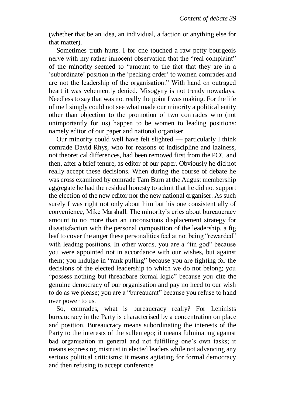(whether that be an idea, an individual, a faction or anything else for that matter).

Sometimes truth hurts. I for one touched a raw petty bourgeois nerve with my rather innocent observation that the "real complaint" of the minority seemed to "amount to the fact that they are in a 'subordinate' position in the 'pecking order' to women comrades and are not the leadership of the organisation." With hand on outraged heart it was vehemently denied. Misogyny is not trendy nowadays. Needless to say that was not really the point I was making. For the life of me l simply could not see what made our minority a political entity other than objection to the promotion of two comrades who (not unimportantly for us) happen to be women to leading positions: namely editor of our paper and national organiser.

Our minority could well have felt slighted — particularly I think comrade David Rhys, who for reasons of indiscipline and laziness, not theoretical differences, had been removed first from the PCC and then, after a brief tenure, as editor of our paper. Obviously he did not really accept these decisions. When during the course of debate he was cross examined by comrade Tam Burn at the August membership aggregate he had the residual honesty to admit that he did not support the election of the new editor nor the new national organiser. As such surely I was right not only about him but his one consistent ally of convenience, Mike Marshall. The minority's cries about bureaucracy amount to no more than an unconscious displacement strategy for dissatisfaction with the personal composition of the leadership, a fig leaf to cover the anger these personalities feel at not being "rewarded" with leading positions. In other words, you are a "tin god" because you were appointed not in accordance with our wishes, but against them; you indulge in "rank pulling" because you are fighting for the decisions of the elected leadership to which we do not belong; you "possess nothing but threadbare formal logic" because you cite the genuine democracy of our organisation and pay no heed to our wish to do as we please; you are a "bureaucrat" because you refuse to hand over power to us.

So, comrades, what is bureaucracy really? For Leninists bureaucracy in the Party is characterised by a concentration on place and position. Bureaucracy means subordinating the interests of the Party to the interests of the sullen ego; it means fulminating against bad organisation in general and not fulfilling one's own tasks; it means expressing mistrust in elected leaders while not advancing any serious political criticisms; it means agitating for formal democracy and then refusing to accept conference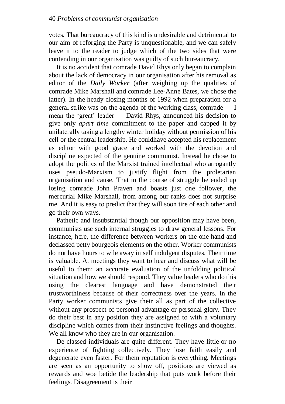votes. That bureaucracy of this kind is undesirable and detrimental to our aim of reforging the Party is unquestionable, and we can safely leave it to the reader to judge which of the two sides that were contending in our organisation was guilty of such bureaucracy.

It is no accident that comrade David Rhys only began to complain about the lack of democracy in our organisation after his removal as editor of the *Daily Worker* (after weighing up the qualities of comrade Mike Marshall and comrade Lee-Anne Bates, we chose the latter). In the heady closing months of 1992 when preparation for a general strike was on the agenda of the working class, comrade — I mean the 'great' leader — David Rhys, announced his decision to give only *apart time* commitment to the paper and capped it by unilaterally taking a lengthy winter holiday without permission of his cell or the central leadership. He couldhave accepted his replacement as editor with good grace and worked with the devotion and discipline expected of the genuine communist. Instead he chose to adopt the politics of the Marxist trained intellectual who arrogantly uses pseudo-Marxism to justify flight from the proletarian organisation and cause. That in the course of struggle he ended up losing comrade John Praven and boasts just one follower, the mercurial Mike Marshall, from among our ranks does not surprise me. And it is easy to predict that they will soon tire of each other and go their own ways.

Pathetic and insubstantial though our opposition may have been, communists use such internal struggles to draw general lessons. For instance, here, the difference between workers on the one hand and declassed petty bourgeois elements on the other. Worker communists do not have hours to wile away in self indulgent disputes. Their time is valuable. At meetings they want to hear and discuss what will be useful to them: an accurate evaluation of the unfolding political situation and how we should respond. They value leaders who do this using the clearest language and have demonstrated their trustworthiness because of their correctness over the years. In the Party worker communists give their all as part of the collective without any prospect of personal advantage or personal glory. They do their best in any position they are assigned to with a voluntary discipline which comes from their instinctive feelings and thoughts. We all know who they are in our organisation.

De-classed individuals are quite different. They have little or no experience of fighting collectively. They lose faith easily and degenerate even faster. For them reputation is everything. Meetings are seen as an opportunity to show off, positions are viewed as rewards and woe betide the leadership that puts work before their feelings. Disagreement is their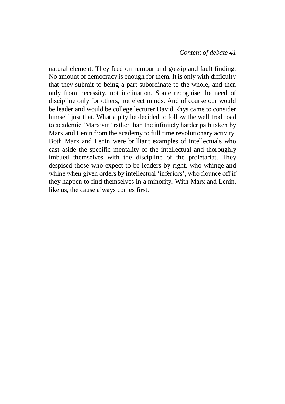natural element. They feed on rumour and gossip and fault finding. No amount of democracy is enough for them. It is only with difficulty that they submit to being a part subordinate to the whole, and then only from necessity, not inclination. Some recognise the need of discipline only for others, not elect minds. And of course our would be leader and would be college lecturer David Rhys came to consider himself just that. What a pity he decided to follow the well trod road to academic 'Marxism' rather than the infinitely harder path taken by Marx and Lenin from the academy to full time revolutionary activity. Both Marx and Lenin were brilliant examples of intellectuals who cast aside the specific mentality of the intellectual and thoroughly imbued themselves with the discipline of the proletariat. They despised those who expect to be leaders by right, who whinge and whine when given orders by intellectual 'inferiors', who flounce off if they happen to find themselves in a minority. With Marx and Lenin, like us, the cause always comes first.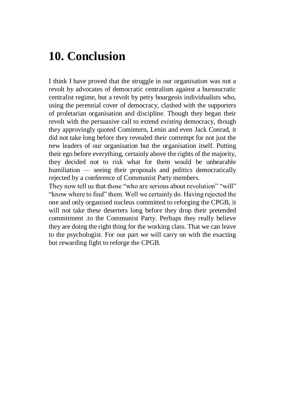## **10. Conclusion**

I think I have proved that the struggle in our organisation was not a revolt by advocates of democratic centralism against a bureaucratic centralist regime, but a revolt by petty bourgeois individualists who, using the perennial cover of democracy, clashed with the supporters of proletarian organisation and discipline. Though they began their revolt with the persuasive call to extend *existing* democracy, though they approvingly quoted Comintern, Lenin and even Jack Conrad, it did not take long before they revealed their contempt for not just the new leaders of our organisation but the organisation itself. Putting their ego before everything, certainly above the rights of the majority, they decided not to risk what for them would be unbearable humiliation — seeing their proposals and politics democratically rejected by a conference of Communist Party members.

They now tell us that those "who are serious about revolution" "will" "know where to find" them. Well we certainly do. Having rejected the one and only organised nucleus committed to reforging the CPGB, it will not take these deserters long before they drop their pretended commitment .to the Communist Party. Perhaps they really believe they are doing the right thing for the working class. That we can leave to the psychologist. For our part we will carry on with the exacting but rewarding fight to reforge the CPGB.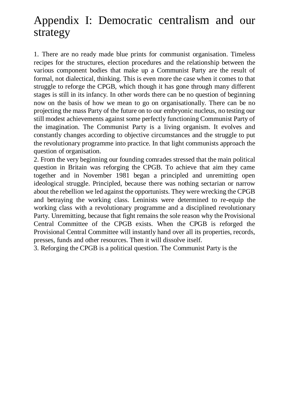## Appendix I: Democratic centralism and our strategy

1. There are no ready made blue prints for communist organisation. Timeless recipes for the structures, election procedures and the relationship between the various component bodies that make up a Communist Party are the result of formal, not dialectical, thinking. This is even more the case when it comes to that struggle to reforge the CPGB, which though it has gone through many different stages is still in its infancy. In other words there can be no question of beginning now on the basis of how we mean to go on organisationally. There can be no projecting the mass Party of the future on to our embryonic nucleus, no testing our still modest achievements against some perfectly functioning Communist Party of the imagination. The Communist Party is a living organism. It evolves and constantly changes according to objective circumstances and the struggle to put the revolutionary programme into practice. In that light communists approach the question of organisation.

2. From the very beginning our founding comrades stressed that the main political question in Britain was reforging the CPGB. To achieve that aim they came together and in November 1981 began a principled and unremitting open ideological struggle. Principled, because there was nothing sectarian or narrow about the rebellion we led against the opportunists. They were wrecking the CPGB and betraying the working class. Leninists were determined to re-equip the working class with a revolutionary programme and a disciplined revolutionary Party. Unremitting, because that fight remains the sole reason why the Provisional Central Committee of the CPGB exists. When the CPGB is reforged the Provisional Central Committee will instantly hand over all its properties, records, presses, funds and other resources. Then it will dissolve itself.

3. Reforging the CPGB is a political question. The Communist Party is the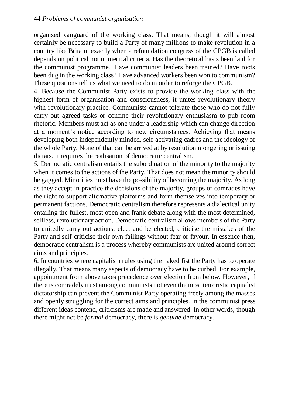organised vanguard of the working class. That means, though it will almost certainly be necessary to build a Party of many millions to make revolution in a country like Britain, exactly when a refoundation congress of the CPGB is called depends on political not numerical criteria. Has the theoretical basis been laid for the communist programme? Have communist leaders been trained? Have roots been dug in the working class? Have advanced workers been won to communism? These questions tell us what we need to do in order to reforge the CPGB.

4. Because the Communist Party exists to provide the working class with the highest form of organisation and consciousness, it unites revolutionary theory with revolutionary practice. Communists cannot tolerate those who do not fully carry out agreed tasks or confine their revolutionary enthusiasm to pub room rhetoric. Members must act as one under a leadership which can change direction at a moment's notice according to new circumstances. Achieving that means developing both independently minded, self-activating cadres and the ideology of the whole Party. None of that can be arrived at by resolution mongering or issuing dictats. It requires the realisation of democratic centralism.

*5.* Democratic centralism entails the subordination of the minority to the majority when it comes to the actions of the Party. That does not mean the minority should be gagged. Minorities must have the possibility of becoming the majority. As long as they accept in practice the decisions of the majority, groups of comrades have the right to support alternative platforms and form themselves into temporary or permanent factions. Democratic centralism therefore represents a dialectical unity entailing the fullest, most open and frank debate along with the most determined, selfless, revolutionary action. Democratic centralism allows members of the Party to unitedly carry out actions, elect and be elected, criticise the mistakes of the Party and self-criticise their own failings without fear or favour. In essence then, democratic centralism is a process whereby communists are united around correct aims and principles.

6. In countries where capitalism rules using the naked fist the Party has to operate illegally. That means many aspects of democracy have to be curbed. For example, appointment from above takes precedence over election from below. However, if there is comradely trust among communists not even the most terroristic capitalist dictatorship can prevent the Communist Party operating freely among the masses and openly struggling for the correct aims and principles. In the communist press different ideas contend, criticisms are made and answered. In other words, though there might not be *formal* democracy, there is *genuine* democracy.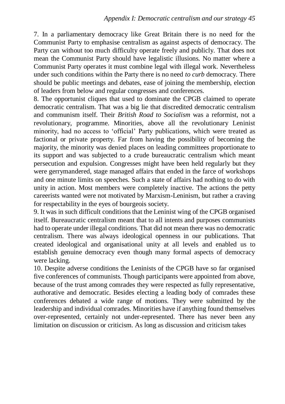7. In a parliamentary democracy like Great Britain there is no need for the Communist Party to emphasise centralism as against aspects of democracy. The Party can without too much difficulty operate freely and publicly. That does not mean the Communist Party should have legalistic illusions. No matter where a Communist Party operates it must combine legal with illegal work. Nevertheless under such conditions within the Party there is no need *to curb* democracy. There should be public meetings and debates, ease of joining the membership, election of leaders from below and regular congresses and conferences.

8. The opportunist cliques that used to dominate the CPGB claimed to operate democratic centralism. That was a big lie that discredited democratic centralism and communism itself. Their *British Road to Socialism* was a reformist, not a revolutionary, programme. Minorities, above all the revolutionary Leninist minority, had no access to 'official' Party publications, which were treated as factional or private property. Far from having the possibility of becoming the majority, the minority was denied places on leading committees proportionate to its support and was subjected to a crude bureaucratic centralism which meant persecution and expulsion. Congresses might have been held regularly but they were gerrymandered, stage managed affairs that ended in the farce of workshops and one minute limits on speeches. Such a state of affairs had nothing to do with unity in action. Most members were completely inactive. The actions the petty careerists wanted were not motivated by Marxism-Leninism, but rather a craving for respectability in the eyes of bourgeois society.

9. It was in such difficult conditions that the Leninist wing of the CPGB organised itself. Bureaucratic centralism meant that to all intents and purposes communists had to operate under illegal conditions. That did not mean there was no democratic centralism. There was always ideological openness in our publications. That created ideological and organisational unity at all levels and enabled us to establish genuine democracy even though many formal aspects of democracy were lacking.

10. Despite adverse conditions the Leninists of the CPGB have so far organised five conferences of communists. Though participants were appointed from above, because of the trust among comrades they were respected as fully representative, authorative and democratic. Besides electing a leading body of comrades these conferences debated a wide range of motions. They were submitted by the leadership and individual comrades. Minorities have if anything found themselves over-represented, certainly not under-represented. There has never been any limitation on discussion or criticism. As long as discussion and criticism takes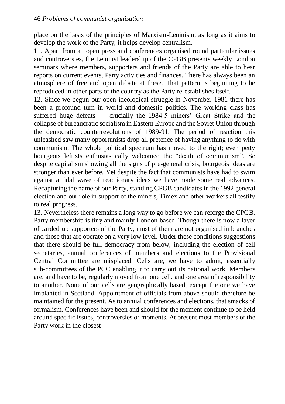place on the basis of the principles of Marxism-Leninism, as long as it aims to develop the work of the Party, it helps develop centralism.

11. Apart from an open press and conferences organised round particular issues and controversies, the Leninist leadership of the CPGB presents weekly London seminars where members, supporters and friends of the Party are able to hear reports on current events, Party activities and finances. There has always been an atmosphere of free and open debate at these. That pattern is beginning to be reproduced in other parts of the country as the Party re-establishes itself.

12. Since we begun our open ideological struggle in November 1981 there has been a profound turn in world and domestic politics. The working class has suffered huge defeats — crucially the 1984-5 miners' Great Strike and the collapse of bureaucratic socialism in Eastern Europe and the Soviet Union through the democratic counterrevolutions of 1989-91. The period of reaction this unleashed saw many opportunists drop all pretence of having anything to do with communism. The whole political spectrum has moved to the right; even petty bourgeois leftists enthusiastically welcomed the "death of communism". So despite capitalism showing all the signs of pre-general crisis, bourgeois ideas are stronger than ever before. Yet despite the fact that communists have had to swim against a tidal wave of reactionary ideas we have made some real advances. Recapturing the name of our Party, standing CPGB candidates in the 1992 general election and our role in support of the miners, Timex and other workers all testify to real progress.

13. Nevertheless there remains a long way to go before we can reforge the CPGB. Party membership is tiny and mainly London based. Though there is now a layer of carded-up supporters of the Party, most of them are not organised in branches and those that are operate on a very low level. Under these conditions suggestions that there should be full democracy from below, including the election of cell secretaries, annual conferences of members and elections to the Provisional Central Committee are misplaced. Cells are, we have to admit, essentially sub-committees of the PCC enabling it to carry out its national work. Members are, and have to be, regularly moved from one cell, and one area of responsibility to another. None of our cells are geographically based, except the one we have implanted in Scotland. Appointment of officials from above should therefore be maintained for the present. As to annual conferences and elections, that smacks of formalism. Conferences have been and should for the moment continue to be held around specific issues, controversies or moments. At present most members of the Party work in the closest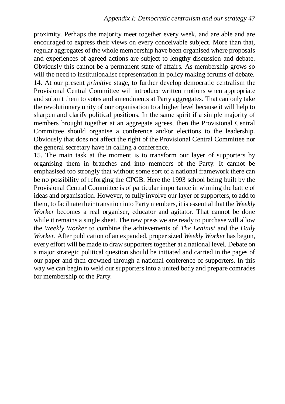proximity. Perhaps the majority meet together every week, and are able and are encouraged to express their views on every conceivable subject. More than that, regular aggregates of the whole membership have been organised where proposals and experiences of agreed actions are subject to lengthy discussion and debate. Obviously this cannot be a permanent state of affairs. As membership grows so will the need to institutionalise representation in policy making forums of debate. 14. At our present *primitive* stage, to further develop democratic centralism the Provisional Central Committee will introduce written motions when appropriate and submit them to votes and amendments at Party aggregates. That can only take the revolutionary unity of our organisation to a higher level because it will help to sharpen and clarify political positions. In the same spirit if a simple majority of members brought together at an aggregate agrees, then the Provisional Central Committee should organise a conference and/or elections to the leadership. Obviously that does not affect the right of the Provisional Central Committee nor the general secretary have in calling a conference.

15. The main task at the moment is to transform our layer of supporters by organising them in branches and into members of the Party. It cannot be emphasised too strongly that without some sort of a national framework there can be no possibility of reforging the CPGB. Here the 1993 school being built by the Provisional Central Committee is of particular importance in winning the battle of ideas and organisation. However, to fully involve our layer of supporters, to add to them, to facilitate their transition into Party members, it is essential that the *Weekly Worker* becomes a real organiser, educator and agitator. That cannot be done while it remains a single sheet. The new press we are ready to purchase will allow the *Weekly Worker* to combine the achievements of *The Leninist* and the *Daily Worker.* After publication of an expanded, proper sized *Weekly Worker* has begun, every effort will be made to draw supporters together at a national level. Debate on a major strategic political question should be initiated and carried in the pages of our paper and then crowned through a national conference of supporters. In this way we can begin to weld our supporters into a united body and prepare comrades for membership of the Party.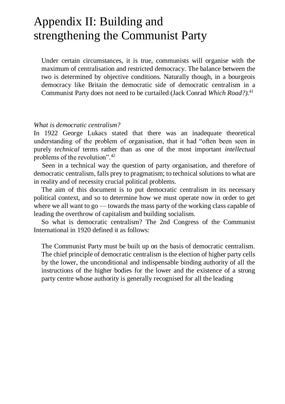## Appendix II: Building and strengthening the Communist Party

Under certain circumstances, it is true, communists will organise with the maximum of centralisation and restricted democracy. The balance between the two is determined by objective conditions. Naturally though, in a bourgeois democracy like Britain the democratic side of democratic centralism in a Communist Party does not need to be curtailed (Jack Conrad *Which Road?).<sup>41</sup>*

#### *What is democratic centralism?*

In 1922 George Lukacs stated that there was an inadequate theoretical understanding of the problem of organisation, that it had "often been seen in purely *technical* terms rather than as one of the most important *intellectual*  problems of the revolution".<sup>42</sup>

Seen in a technical way the question of party organisation, and therefore of democratic centralism, falls prey to pragmatism; to technical solutions to what are in reality and of necessity crucial political problems.

The aim of this document is to put democratic centralism in its necessary political context, and so to determine how we must operate now in order to get where we all want to  $\alpha$  — towards the mass party of the working class capable of leading the overthrow of capitalism and building socialism.

So what is democratic centralism? The 2nd Congress of the Communist International in 1920 defined it as follows:

The Communist Party must be built up on the basis of democratic centralism. The chief principle of democratic centralism is the election of higher party cells by the lower, the unconditional and indispensable binding authority of all the instructions of the higher bodies for the lower and the existence of a strong party centre whose authority is generally recognised for all the leading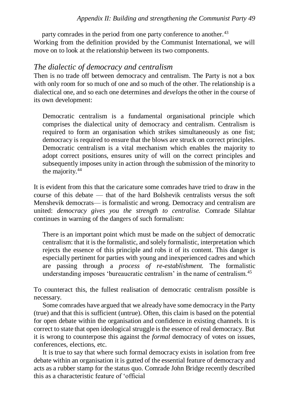party comrades in the period from one party conference to another.<sup>43</sup> Working from the definition provided by the Communist International, we will move on to look at the relationship between its two components.

#### *The dialectic of democracy and centralism*

Then is no trade off between democracy and centralism. The Party is not a box with only room for so much of one and so much of the other. The relationship is a dialectical one, and so each one determines and *develops* the other in the course of its own development:

Democratic centralism is a fundamental organisational principle which comprises the dialectical unity of democracy and centralism. Centralism is required to form an organisation which strikes simultaneously as one fist; democracy is required to ensure that the blows are struck on correct principles. Democratic centralism is a vital mechanism which enables the majority to adopt correct positions, ensures unity of will on the correct principles and subsequently imposes unity in action through the submission of the minority to the majority.<sup>44</sup>

It is evident from this that the caricature some comrades have tried to draw in the course of this debate — that of the hard Bolshevik centralists versus the soft Menshevik democrats— is formalistic and wrong. Democracy and centralism are united: *democracy gives you the strength to centralise.* Comrade Silahtar continues in warning of the dangers of such formalism:

There is an important point which must be made on the subject of democratic centralism: that it is the formalistic, and solely formalistic, interpretation which rejects the essence of this principle and robs it of its content. This danger is especially pertinent for parties with young and inexperienced cadres and which are passing through a *process of re-establishment.* The formalistic understanding imposes 'bureaucratic centralism' in the name of centralism.<sup>45</sup>

To counteract this, the fullest realisation of democratic centralism possible is necessary.

Some comrades have argued that we already have some democracy in the Party (true) and that this is sufficient (untrue). Often, this claim is based on the potential for open debate within the organisation and confidence in existing channels. It is correct to state that open ideological struggle is the essence of real democracy. But it is wrong to counterpose this against the *formal* democracy of votes on issues, conferences, elections, etc.

It is true to say that where such formal democracy exists in isolation from free debate within an organisation it is gutted of the essential feature of democracy and acts as a rubber stamp for the status quo. Comrade John Bridge recently described this as a characteristic feature of 'official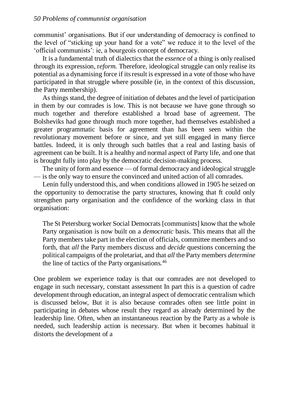communist' organisations. But if our understanding of democracy is confined to the level of "sticking up your hand for a vote" we reduce it to the level of the 'official communists': ie, a bourgeois concept of democracy.

It is a fundamental truth of dialectics that the *essence* of a thing is only realised through its expression, r*eform.* Therefore, ideological struggle can only realise its potential as a dynamising force if its result is expressed in a vote of those who have participated in that struggle where possible (ie, in the context of this discussion, the Party membership).

As things stand, the degree of initiation of debates and the level of participation in them by our comrades is low. This is not because we have gone through so much together and therefore established a broad base of agreement. The Bolsheviks had gone through much more together, had themselves established a greater programmatic basis for agreement than has been seen within the revolutionary movement before or since, and yet still engaged in many fierce battles. Indeed, it is only through such battles that a real and lasting basis of agreement can be built. It is a healthy and normal aspect of Party life, and one that is brought fully into play by the democratic decision-making process.

The unity of form and essence — of formal democracy and ideological struggle — is the only way to ensure the convinced and united action of all comrades.

Lenin fully understood this, and when conditions allowed in 1905 he seized on the opportunity to democratise the party structures, knowing that ft could only strengthen party organisation and the confidence of the working class in that organisation:

The St Petersburg worker Social Democrats [communists] know that the whole Party organisation is now built on a *democratic* basis. This means that all the Party members take part in the election of officials, committee members and so forth, that *all* the Party members discuss and *decide* questions concerning the political campaigns of the proletariat, and that *all* the Party members *determine*  the line of tactics of the Party organisations.<sup>46</sup>

One problem we experience today is that our comrades are not developed to engage in such necessary, constant assessment In part this is a question of cadre development through education, an integral aspect of democratic centralism which is discussed below, But it is also because comrades often see little point in participating in debates whose result they regard as already determined by the leadership line. Often, when an instantaneous reaction by the Party as a whole is needed, such leadership action is necessary. But when it becomes habitual it distorts the development of a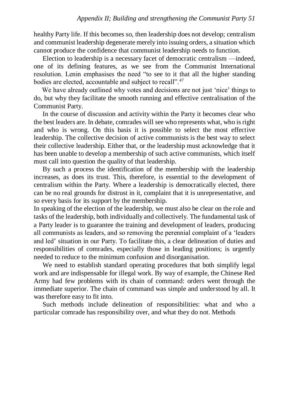healthy Party life. If this becomes so, then leadership does not develop; centralism and communist leadership degenerate merely into issuing orders, a situation which cannot produce the confidence that communist leadership needs to function.

Election to leadership is a necessary facet of democratic centralism —indeed, one of its defining features, as we see from the Communist International resolution. Lenin emphasises the need "to see to it that all the higher standing bodies are elected, accountable and subject to recall".<sup>47</sup>

We have already outlined why votes and decisions are not just 'nice' things to do, but why they facilitate the smooth running and effective centralisation of the Communist Party.

In the course of discussion and activity within the Party it becomes clear who the best leaders are. In debate, comrades will see who represents what, who is right and who is wrong. On this basis it is possible to select the most effective leadership. The collective decision of active communists is the best way to select their collective leadership. Either that, or the leadership must acknowledge that it has been unable to develop a membership of such active communists, which itself must call into question the quality of that leadership.

By such a process the identification of the membership with the leadership increases, as does its trust. This, therefore, is essential to the development of centralism within the Party. Where a leadership is democratically elected, there can be no real grounds for distrust in it, complaint that it is unrepresentative, and so every basis for its support by the membership.

In speaking of the election of the leadership, we must also be clear on the role and tasks of the leadership, both individually and collectively. The fundamental task of a Party leader is to guarantee the training and development of leaders, producing all communists as leaders, and so removing the perennial complaint of a 'leaders and led' situation in our Party. To facilitate this, a clear delineation of duties and responsibilities of comrades, especially those in leading positions; is urgently needed to reduce to the minimum confusion and disorganisation.

We need to establish standard operating procedures that both simplify legal work and are indispensable for illegal work. By way of example, the Chinese Red Army had few problems with its chain of command: orders went through the immediate superior. The chain of command was simple and understood by all. It was therefore easy to fit into.

Such methods include delineation of responsibilities: what and who a particular comrade has responsibility over, and what they do not. Methods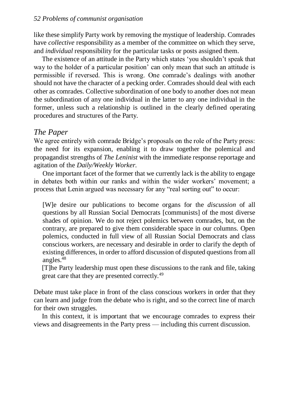like these simplify Party work by removing the mystique of leadership. Comrades have *collective* responsibility as a member of the committee on which they serve, and *individual* responsibility for the particular tasks or posts assigned them.

The existence of an attitude in the Party which states 'you shouldn't speak that way to the holder of a particular position' can only mean that such an attitude is permissible if reversed. This is wrong. One comrade's dealings with another should not have the character of a pecking order. Comrades should deal with each other as comrades. Collective subordination of one body to another does not mean the subordination of any one individual in the latter to any one individual in the former, unless such a relationship is outlined in the clearly defined operating procedures and structures of the Party.

#### *The Paper*

We agree entirely with comrade Bridge's proposals on the role of the Party press: the need for its expansion, enabling it to draw together the polemical and propagandist strengths of *The Leninist* with the immediate response reportage and agitation of the *Daily/Weekly Worker.*

One important facet of the former that we currently lack is the ability to engage in debates both within our ranks and within the wider workers' movement; a process that Lenin argued was necessary for any "real sorting out" to occur:

[W]e desire our publications to become organs for the *discussion* of all questions by all Russian Social Democrats [communists] of the most diverse shades of opinion. We do not reject polemics between comrades, but, on the contrary, are prepared to give them considerable space in our columns. Open polemics, conducted in full view of all Russian Social Democrats and class conscious workers, are necessary and desirable in order to clarify the depth of existing differences, in order to afford discussion of disputed questions from all angles. $48$ 

[T]he Party leadership must open these discussions to the rank and file, taking great care that they are presented correctly.<sup>49</sup>

Debate must take place in front of the class conscious workers in order that they can learn and judge from the debate who is right, and so the correct line of march for their own struggles.

In this context, it is important that we encourage comrades to express their views and disagreements in the Party press — including this current discussion.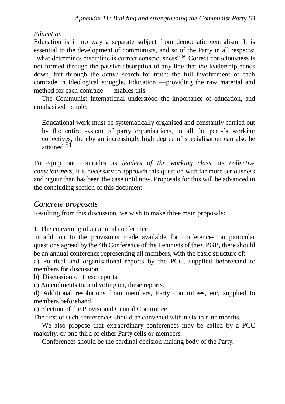#### *Education*

Education is in no way a separate subject from democratic centralism. It is essential to the development of communists, and so of the Party in all respects: "what determines discipline is correct consciousness".<sup>50</sup> Correct consciousness is not formed through the passive absorption of any line that the leadership hands down, but through the *active* search for truth: the full involvement of each comrade in ideological struggle. Education —providing the raw material and method for each comrade — enables this.

The Communist International understood the importance of education, and emphasised its role.

Educational work must be systematically organised and constantly carried out by the entire system of party organisations, in all the party's working collectives; thereby an increasingly high degree of specialisation can also be attained.51

To equip our comrades as *leaders of the working class,* its *collective consciousness,* it is necessary to approach this question with far more seriousness and rigour than has been the case until now. Proposals for this will be advanced in the concluding section of this document.

#### *Concrete proposals*

Resulting from this discussion, we wish to make three main proposals:

1. The convening of an annual conference

In addition to the provisions made available for conferences on particular questions agreed by the 4th Conference of the Leninists of the CPGB, there should be an annual conference representing all members, with the basic structure of:

a) Political and organisational reports by the PCC, supplied beforehand to members for discussion

b) Discussion on these reports.

c) Amendments to, and voting on, these reports.

d) Additional resolutions from members, Party committees, etc, supplied to members beforehand

e) Election of the Provisional Central Committee

The first of such conferences should be convened within six to nine months.

We also propose that extraordinary conferences may be called by a PCC majority, or one third of either Party cells or members.

Conferences should be the cardinal decision making body of the Party.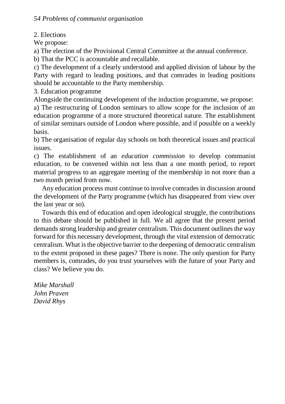2. Elections

We propose:

a) The election of the Provisional Central Committee at the annual conference.

b) That the PCC is accountable and recallable.

c) The development of a clearly understood and applied division of labour by the Party with regard to leading positions, and that comrades in leading positions should be accountable to the Party membership.

3. Education programme

Alongside the continuing development of the induction programme, we propose: a) The restructuring of London seminars to allow scope for the inclusion of an education programme of a more structured theoretical nature. The establishment of similar seminars outside of London where possible, and if possible on a weekly basis.

b) The organisation of regular day schools on both theoretical issues and practical issues.

c) The establishment of an *education commission* to develop communist education, to be convened within not less than a one month period, to report material progress to an aggregate meeting of the membership in not more than a two month period from now.

Any education process must continue to involve comrades in discussion around the development of the Party programme (which has disappeared from view over the last year or so).

Towards this end of education and open ideological struggle, the contributions to this debate should be published in full. We all agree that the present period demands strong leadership and greater centralism. This document outlines the way forward for this necessary development, through the vital extension of democratic centralism. What is the objective barrier to the deepening of democratic centralism to the extent proposed in these pages? There is none. The only question for Party members is, comrades, do you trust yourselves with the future of your Party and class? We believe you do.

*Mike Marshall John Praven David Rhys*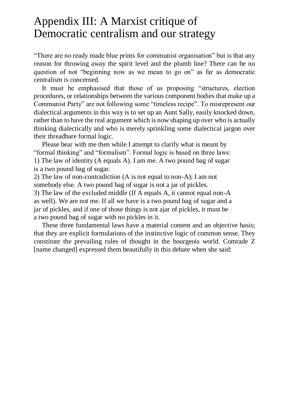#### Appendix III: A Marxist critique of Democratic centralism and our strategy

"There are no ready made blue prints for communist organisation" but is that any reason for throwing away the spirit level and the plumb line? There can be no question of not "beginning now as we mean to go on" as far as democratic centralism is concerned.

It must be emphasised that those of us proposing "structures, election procedures, or relationships between the various component bodies that make up a Communist Party" are not following some "timeless recipe". To misrepresent our dialectical arguments in this way is to set up an Aunt Sally, easily knocked down, rather than to have the real argument which is now shaping up over who is actually thinking dialectically and who is merely sprinkling some dialectical jargon over their threadbare formal logic.

Please bear with me then while I attempt to clarify what is meant by "formal thinking" and "formalism". Formal logic is based on three laws: 1) The law of identity (A equals A). I am me. A two pound bag of sugar is a two pound bag of sugar.

2) The law of non-contradiction (A is not equal to non-A); I am not somebody else. A two pound bag of sugar is not a jar of pickles. 3) The law of the excluded middle (If A equals A, it cannot equal non-A as well). We are not me. If all we have is a two pound bag of sugar and a jar of pickles, and if one of those things is not ajar of pickles, it must be a two pound bag of sugar with no pickles in it.

These three fundamental laws have a material content and an objective basis; that they are explicit formulations of the instinctive logic of common sense. They constitute the prevailing rules of thought in the bourgeois world. Comrade Z [name changed] expressed them beautifully in this debate when she said: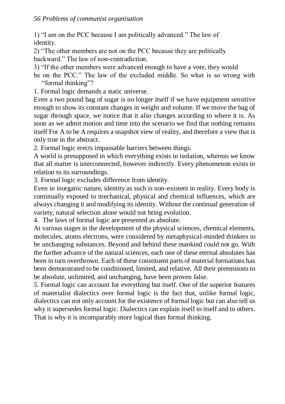1) "I am on the PCC because I am politically advanced." The law of identity.

2) "The other members are not on the PCC because they are politically backward." The law of non-contradiction.

- 3) "If the other members were advanced enough to have a vote, they would
- be on the PCC." The law of the excluded middle. So what is so wrong with "formal thinking"?
- 1. Formal logic demands a static universe.

Even a two pound bag of sugar is no longer itself if we have equipment sensitive enough to show its constant changes in weight and volume. If we move the bag of sugar through space, we notice that it also changes according to where it is. As soon as we admit motion and time into the scenario we find that nothing remains itself For A to be A requires a snapshot view of reality, and therefore a view that is only true in the abstract.

2. Formal logic erects impassable barriers between things.

A world is presupposed in which everything exists in isolation, whereas we know that all matter is interconnected, however indirectly. Every phenomenon exists in relation to its surroundings.

3. Formal logic excludes difference from identity.

Even in inorganic nature, identity as such is non-existent in reality. Every body is continually exposed to mechanical, physical and chemical influences, which are always changing it and modifying its identity. Without the continual generation of variety, natural selection alone would not bring evolution.

4. The laws of formal logic are presented as absolute.

At various stages in the development of the physical sciences, chemical elements, molecules, atoms electrons, were considered by metaphysical-minded thinkers to be unchanging substances. Beyond and behind these mankind could not go. With the further advance of the natural sciences, each one of these eternal absolutes has been in turn overthrown. Each of these constituent parts of material formations has been demonstrated to be conditioned, limited, and relative. All their pretensions to be absolute, unlimited, and unchanging, have been proven false.

*5.* Formal logic can account for everything but itself. One of the superior features of materialist dialectics over formal logic is the fact that, unlike formal logic, dialectics can not only account for the existence of formal logic but can also tell us why it supersedes formal logic. Dialectics can explain itself to itself and to others. That is why it is incomparably more logical than formal thinking.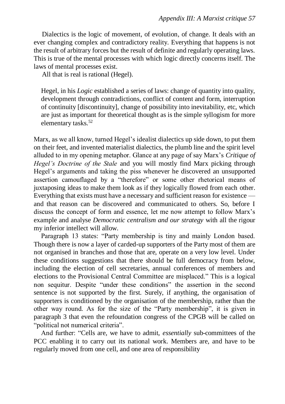Dialectics is the logic of movement, of evolution, of change. It deals with an ever changing complex and contradictory reality. Everything that happens is not the result of arbitrary forces but the result of definite and regularly operating laws. This is true of the mental processes with which logic directly concerns itself. The laws of mental processes exist.

All that is real is rational (Hegel).

Hegel, in his *Logic* established a series of laws: change of quantity into quality, development through contradictions, conflict of content and form, interruption of continuity [discontinuity], change of possibility into inevitability, etc, which are just as important for theoretical thought as is the simple syllogism for more elementary tasks.<sup>52</sup>

Marx, as we all know, turned Hegel's idealist dialectics up side down, to put them on their feet, and invented materialist dialectics, the plumb line and the spirit level alluded to in my opening metaphor. Glance at any page of say Marx's *Critique of Hegel's Doctrine of the Stale* and you will mostly find Marx picking through Hegel's arguments and taking the piss whenever he discovered an unsupported assertion camouflaged by a "therefore" or some other rhetorical means of juxtaposing ideas to make them look as if they logically flowed from each other. Everything that exists must have a necessary and sufficient reason for existence and that reason can be discovered and communicated to others. So, before I discuss the concept of form and essence, let me now attempt to follow Marx's example and analyse *Democratic centralism and our strategy* with all the rigour my inferior intellect will allow.

Paragraph 13 states: "Party membership is tiny and mainly London based. Though there is now a layer of carded-up supporters of the Party most of them are not organised in branches and those that are, operate on a very low level. Under these conditions suggestions that there should be full democracy from below, including the election of cell secretaries, annual conferences of members and elections to the Provisional Central Committee are misplaced." This is a logical non sequitur. Despite "under these conditions" the assertion in the second sentence is not supported by the first. Surely, if anything, the organisation of supporters is conditioned by the organisation of the membership, rather than the other way round. As for the size of the "Party membership", it is given in paragraph 3 that even the refoundation congress of the CPGB will be called on "political not numerical criteria".

And further: "Cells are, we have to admit, *essentially* sub-committees of the PCC enabling it to carry out its national work. Members are, and have to be regularly moved from one cell, and one area of responsibility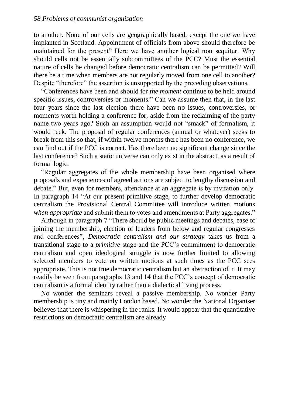to another. None of our cells are geographically based, except the one we have implanted in Scotland. Appointment of officials from above should therefore be maintained for the present" Here we have another logical non sequitur. Why should cells not be essentially subcommittees of the PCC? Must the essential nature of cells be changed before democratic centralism can be permitted? Will there be a time when members are not regularly moved from one cell to another? Despite "therefore" the assertion is unsupported by the preceding observations.

"Conferences have been and should for *the moment* continue to be held around specific issues, controversies or moments." Can we assume then that, in the last four years since the last election there have been no issues, controversies, or moments worth holding a conference for, aside from the reclaiming of the party name two years ago? Such an assumption would not "smack" of formalism, it would reek. The proposal of regular conferences (annual or whatever) seeks to break from this so that, if within twelve months there has been no conference, we can find out if the PCC is correct. Has there been no significant change since the last conference? Such a static universe can only exist in the abstract, as a result of formal logic.

"Regular aggregates of the whole membership have been organised where proposals and experiences of agreed actions are subject to lengthy discussion and debate." But, even for members, attendance at an aggregate is by invitation only. In paragraph 14 "At our present primitive stage, to further develop democratic centralism the Provisional Central Committee will introduce written motions *when appropriate* and submit them to votes and amendments at Party aggregates."

Although in paragraph 7 "There should be public meetings and debates, ease of joining the membership, election of leaders from below and regular congresses and conferences", *Democratic centralism and our strategy* takes us from a transitional stage to a *primitive* stage and the PCC's commitment to democratic centralism and open ideological struggle is now further limited to allowing selected members to vote on written motions at such times as the PCC sees appropriate. This is not true democratic centralism but an abstraction of it. It may readily be seen from paragraphs 13 and 14 that the PCC's concept of democratic centralism is a formal identity rather than a dialectical living process.

No wonder the seminars reveal a passive membership. No wonder Party membership is tiny and mainly London based. No wonder the National Organiser believes that there is whispering in the ranks. It would appear that the quantitative restrictions on democratic centralism are already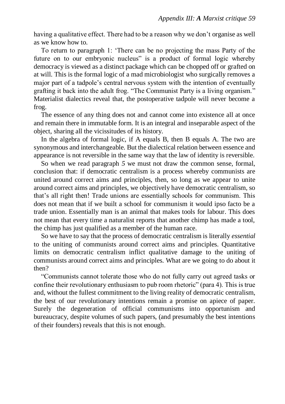having a qualitative effect. There had to be a reason why we don't organise as well as we know how to.

To return to paragraph 1: 'There can be no projecting the mass Party of the future on to our embryonic nucleus" is a product of formal logic whereby democracy is viewed as a distinct package which can be chopped off or grafted on at will. This is the formal logic of a mad microbiologist who surgically removes a major part of a tadpole's central nervous system with the intention of eventually grafting it back into the adult frog. "The Communist Party is a living organism." Materialist dialectics reveal that, the postoperative tadpole will never become a frog.

The essence of any thing does not and cannot come into existence all at once and remain there in immutable form. It is an integral and inseparable aspect of the object, sharing all the vicissitudes of its history.

In the algebra of formal logic, if A equals B, then B equals A. The two are synonymous and interchangeable. But the dialectical relation between essence and appearance is not reversible in the same way that the law of identity is reversible.

So when we read paragraph *5* we must not draw the common sense, formal, conclusion that: if democratic centralism is a process whereby communists are united around correct aims and principles, then, so long as we appear to unite around correct aims and principles, we objectively have democratic centralism, so that's all right then! Trade unions are essentially schools for communism. This does not mean that if we built a school for communism it would ipso facto be a trade union. Essentially man is an animal that makes tools for labour. This does not mean that every time a naturalist reports that another chimp has made a tool, the chimp has just qualified as a member of the human race.

So we have to say that the process of democratic centralism is literally *essential*  to the uniting of communists around correct aims and principles. Quantitative limits on democratic centralism inflict qualitative damage to the uniting of communists around correct aims and principles. What are we going to do about it then?

"Communists cannot tolerate those who do not fully carry out agreed tasks or confine their revolutionary enthusiasm to pub room rhetoric" (para 4). This is true and, without the fullest commitment to the living reality of democratic centralism, the best of our revolutionary intentions remain a promise on apiece of paper. Surely the degeneration of official communisms into opportunism and bureaucracy, despite volumes of such papers, (and presumably the best intentions of their founders) reveals that this is not enough.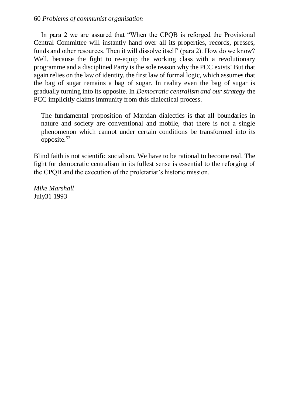In para 2 we are assured that "When the CPQB is reforged the Provisional Central Committee will instantly hand over all its properties, records, presses, funds and other resources. Then it will dissolve itself' (para 2). How do we know? Well, because the fight to re-equip the working class with a revolutionary programme and a disciplined Party is the sole reason why the PCC exists! But that again relies on the law of identity, the first law of formal logic, which assumes that the bag of sugar remains a bag of sugar. In reality even the bag of sugar is gradually turning into its opposite. In *Democratic centralism and our strategy* the PCC implicitly claims immunity from this dialectical process.

The fundamental proposition of Marxian dialectics is that all boundaries in nature and society are conventional and mobile, that there is not a single phenomenon which cannot under certain conditions be transformed into its opposite.<sup>53</sup>

Blind faith is not scientific socialism. We have to be rational to become real. The fight for democratic centralism in its fullest sense is essential to the reforging of the CPQB and the execution of the proletariat's historic mission.

*Mike Marshall* July31 1993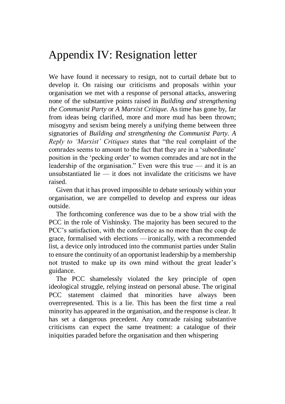#### Appendix IV: Resignation letter

We have found it necessary to resign, not to curtail debate but to develop it. On raising our criticisms and proposals within your organisation we met with a response of personal attacks, answering none of the substantive points raised in *Building and strengthening the Communist Party* or *A Marxist Critique.* As time has gone by, far from ideas being clarified, more and more mud has been thrown; misogyny and sexism being merely a unifying theme between three signatories of *Building and strengthening the Communist Party. A Reply to 'Marxist' Critiques* states that "the real complaint of the comrades seems to amount to the fact that they are in a 'subordinate' position in the 'pecking order' to women comrades and are not in the leadership of the organisation." Even were this true — and it is an unsubstantiated lie  $-$  it does not invalidate the criticisms we have raised.

Given that it has proved impossible to debate seriously within your organisation, we are compelled to develop and express our ideas outside.

The forthcoming conference was due to be a show trial with the PCC in the role of Vishinsky. The majority has been secured to the PCC's satisfaction, with the conference as no more than the coup de grace, formalised with elections —ironically, with a recommended list, a device only introduced into the communist parties under Stalin to ensure the continuity of an opportunist leadership by a membership not trusted to make up its own mind without the great leader's guidance.

The PCC shamelessly violated the key principle of open ideological struggle, relying instead on personal abuse. The original PCC statement claimed that minorities have always been overrepresented. This is a lie. This has been the first time a real minority has appeared in the organisation, and the response is clear. It has set a dangerous precedent. Any comrade raising substantive criticisms can expect the same treatment: a catalogue of their iniquities paraded before the organisation and then whispering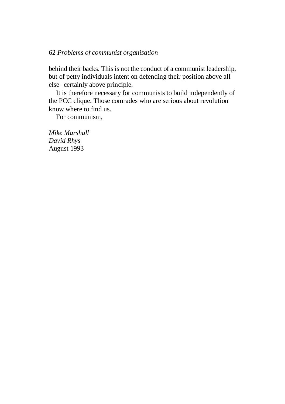#### 62 *Problems of communist organisation*

behind their backs. This is not the conduct of a communist leadership, but of petty individuals intent on defending their position above all else —certainly above principle.

It is therefore necessary for communists to build independently of the PCC clique. Those comrades who are serious about revolution know where to find us.

For communism,

*Mike Marshall David Rhys* August 1993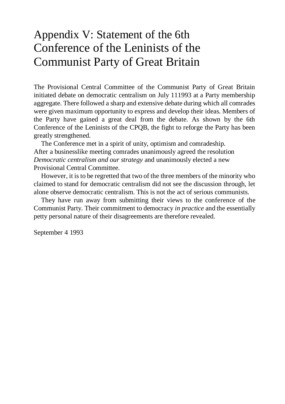## Appendix V: Statement of the 6th Conference of the Leninists of the Communist Party of Great Britain

The Provisional Central Committee of the Communist Party of Great Britain initiated debate on democratic centralism on July 111993 at a Party membership aggregate. There followed a sharp and extensive debate during which all comrades were given maximum opportunity to express and develop their ideas. Members of the Party have gained a great deal from the debate. As shown by the 6th Conference of the Leninists of the CPQB, the fight to reforge the Party has been greatly strengthened.

The Conference met in a spirit of unity, optimism and comradeship. After a businesslike meeting comrades unanimously agreed the resolution *Democratic centralism and our strategy* and unanimously elected a new Provisional Central Committee.

However, it is to be regretted that two of the three members of the minority who claimed to stand for democratic centralism did not see the discussion through, let alone observe democratic centralism. This is not the act of serious communists.

They have run away from submitting their views to the conference of the Communist Party. Their commitment to democracy *in practice* and the essentially petty personal nature of their disagreements are therefore revealed.

September 4 1993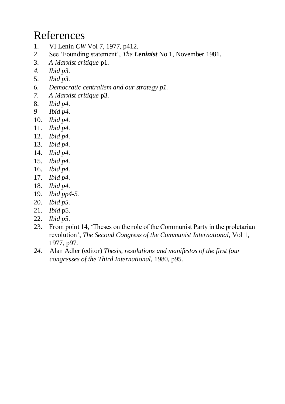## References

- 1. VI Lenin *CW* Vol 7, 1977, p412.
- 2. See 'Founding statement', *The Leninist* No 1, November 1981.
- 3. *A Marxist critique* p1.
- *4. Ibid p3.*
- 5. *Ibid p3.*
- *6. Democratic centralism and our strategy p1.*
- *7. A Marxist critique* p3.
- 8. *Ibid p4.*
- *9 Ibid p4.*
- 10. *Ibid p4.*
- 11. *Ibid p4.*
- 12. *Ibid p4.*
- 13. *Ibid p4.*
- 14. *Ibid p4.*
- 15. *Ibid p4.*
- 16. *Ibid p4.*
- 17. *Ibid p4.*
- 18. *Ibid p4.*
- 19. *Ibid pp4-5.*
- 20. *Ibid p5.*
- 21. *Ibid* p5.
- 22. *Ibid p5.*
- 23. From point 14, 'Theses on the role of the Communist Party in the proletarian revolution', *The Second Congress of the Communist International,* Vol 1, 1977, p97.
- *24.* Alan Adler (editor) *Thesis, resolutions and manifestos of the first four congresses of the Third International,* 1980, p95.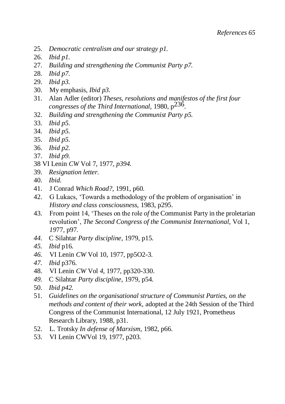- 25. *Democratic centralism and our strategy p1.*
- 26. *Ibid p1.*
- 27. *Building and strengthening the Communist Party p7.*
- 28. *Ibid p7.*
- 29. *Ibid p3.*
- 30. My emphasis, *Ibid p3.*
- 31. Alan Adler (editor) *Theses, resolutions and manifestos of the first four congresses of the Third International,* 1980, p236.
- 32. *Building and strengthening the Communist Party p5.*
- 33. *Ibid p5.*
- 34. *Ibid p5.*
- 35. *Ibid p5.*
- 36. *Ibid p2.*
- 37. *Ibid p9.*
- 38 VI Lenin *CW* Vol 7, 1977, *p394.*
- 39. *Resignation letter.*
- 40. *Ibid.*
- 41. J Conrad *Which Road?,* 1991, p60.
- 42. G Lukacs, 'Towards a methodology of the problem of organisation' in *History and class consciousness,* 1983, p295.
- 43. From point 14, 'Theses on the role *of* the Communist Party in the proletarian revolution', *The Second Congress of the Communist International,* Vol 1, *19*77*,* p97*.*
- *44.* C Silahtar *Party discipline,* 1979, p15.
- *45. Ibid* p16.
- *46.* VI Lenin *CW* Vol 10, 1977, pp5O2-3.
- *47. Ibid* p376.
- 48. VI Lenin *CW* Vol *4,* 1977, pp320-330.
- *49.* C Silahtar *Party discipline,* 1979, p54.
- 50. *Ibid p42.*
- 51. *Guidelines on the organisational structure of Communist Parties, on the methods and content of their work,* adopted at the 24th Session of the Third Congress of the Communist International, 12 July 1921, Prometheus Research Library, 1988, p31.
- 52. L. Trotsky *In defense of Marxism,* 1982, p66.
- 53. VI Lenin CWVol 19, 1977, p203.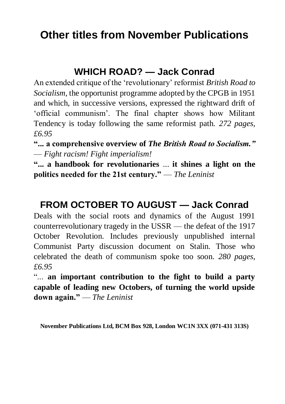## **Other titles from November Publications**

#### **WHICH ROAD? — Jack Conrad**

An extended critique of the 'revolutionary' reformist *British Road to Socialism,* the opportunist programme adopted by the CPGB in 1951 and which, in successive versions, expressed the rightward drift of 'official communism'. The final chapter shows how Militant Tendency is today following the same reformist path. *272 pages, £6.95*

**"... a comprehensive overview of** *The British Road to Socialism."* — *Fight racism! Fight imperialism!*

**"... a handbook for revolutionaries** ... **it shines a light on the politics needed for the 21st century."** — *The Leninist*

#### **FROM OCTOBER TO AUGUST — Jack Conrad**

Deals with the social roots and dynamics of the August 1991 counterrevolutionary tragedy in the USSR — the defeat of the 1917 October Revolution. Includes previously unpublished internal Communist Party discussion document on Stalin. Those who celebrated the death of communism spoke too soon. *280 pages, £6.95*

"... **an important contribution to the fight to build a party capable of leading new Octobers, of turning the world upside down again."** — *The Leninist*

**November Publications Ltd, BCM Box 928, London WC1N 3XX (071-431 313S)**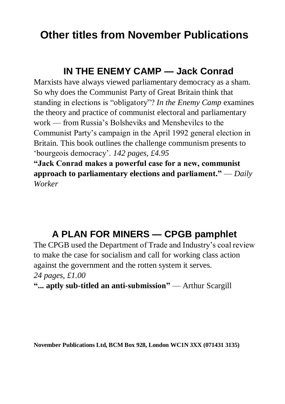## **Other titles from November Publications**

#### **IN THE ENEMY CAMP — Jack Conrad**

Marxists have always viewed parliamentary democracy as a sham. So why does the Communist Party of Great Britain think that standing in elections is "obligatory"? *In the Enemy Camp* examines the theory and practice of communist electoral and parliamentary work — from Russia's Bolsheviks and Menshevilcs to the Communist Party's campaign in the April 1992 general election in Britain. This book outlines the challenge communism presents to 'bourgeois democracy'. *142 pages, £4.95*

**"Jack Conrad makes a powerful case for a new, communist approach to parliamentary elections and parliament."** — *Daily Worker*

## **A PLAN FOR MINERS — CPGB pamphlet**

The CPGB used the Department of Trade and Industry's coal review to make the case for socialism and call for working class action against the government and the rotten system it serves. *24 pages, £1.00*

**"... aptly sub-titled an anti-submission"** — Arthur Scargill

**November Publications Ltd, BCM Box 928, London WC1N 3XX (071431 3135)**